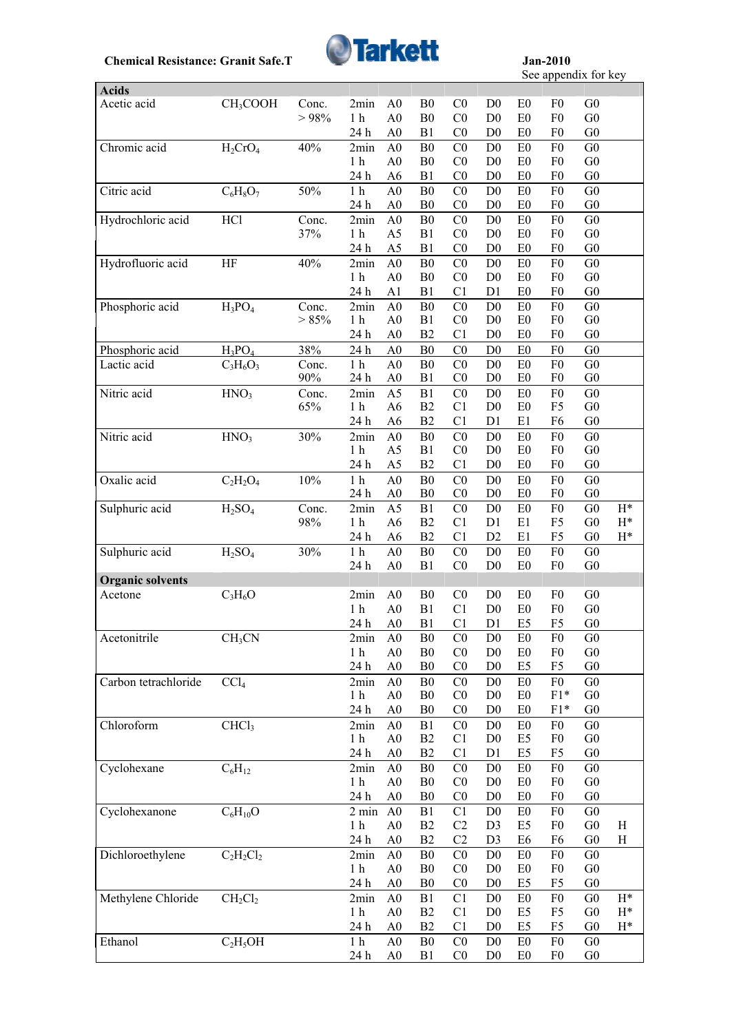

See appendix for key

| Acetic acid<br>CH <sub>3</sub> COOH<br>Conc.<br>A <sub>0</sub><br>B <sub>0</sub><br>C <sub>0</sub><br>G <sub>0</sub><br>2min<br>D <sub>0</sub><br>E <sub>0</sub><br>F <sub>0</sub><br>${\bf B0}$<br>C <sub>0</sub><br>$> 98\%$<br>1 <sub>h</sub><br>A <sub>0</sub><br>D <sub>0</sub><br>E <sub>0</sub><br>F <sub>0</sub><br>G <sub>0</sub><br>B1<br>C <sub>0</sub><br>D <sub>0</sub><br>G <sub>0</sub><br>24 h<br>A <sub>0</sub><br>E <sub>0</sub><br>F <sub>0</sub><br>Chromic acid<br>40%<br>G <sub>0</sub><br>$H_2CrO_4$<br>B <sub>0</sub><br>C <sub>0</sub><br>D <sub>0</sub><br>E <sub>0</sub><br>F <sub>0</sub><br>2min<br>A <sub>0</sub><br>B <sub>0</sub><br>C <sub>0</sub><br>D <sub>0</sub><br>F <sub>0</sub><br>G <sub>0</sub><br>1 <sub>h</sub><br>A <sub>0</sub><br>E <sub>0</sub><br>24 h<br>B1<br>C <sub>0</sub><br>D <sub>0</sub><br>G <sub>0</sub><br>A <sub>6</sub><br>E <sub>0</sub><br>F <sub>0</sub><br>Citric acid<br>50%<br>B <sub>0</sub><br>C <sub>0</sub><br>G <sub>0</sub><br>$C_6H_8O_7$<br>1 <sub>h</sub><br>A <sub>0</sub><br>D <sub>0</sub><br>E <sub>0</sub><br>F <sub>0</sub><br>B <sub>0</sub><br>C <sub>0</sub><br>D <sub>0</sub><br>E <sub>0</sub><br>F <sub>0</sub><br>G <sub>0</sub><br>24 h<br>A <sub>0</sub><br>Hydrochloric acid<br><b>HCl</b><br>${\bf B0}$<br>CO<br>F <sub>0</sub><br>G <sub>0</sub><br>Conc.<br>A <sub>0</sub><br>D <sub>0</sub><br>E <sub>0</sub><br>2min<br>B1<br>${\rm G0}$<br>37%<br>1 <sub>h</sub><br>C <sub>0</sub><br>D <sub>0</sub><br>E <sub>0</sub><br>F <sub>0</sub><br>A <sub>5</sub><br>B1<br>C <sub>0</sub><br>G <sub>0</sub><br>24 h<br>A <sub>5</sub><br>D <sub>0</sub><br>E <sub>0</sub><br>F <sub>0</sub><br>40%<br>${\bf B0}$<br>C <sub>0</sub><br>G <sub>0</sub><br>Hydrofluoric acid<br>A <sub>0</sub><br>D <sub>0</sub><br>F <sub>0</sub><br>HF<br>2min<br>E <sub>0</sub><br>${\bf B0}$<br>C <sub>0</sub><br>F <sub>0</sub><br>${\rm G0}$<br>1 <sub>h</sub><br>A <sub>0</sub><br>D <sub>0</sub><br>E <sub>0</sub><br>B1<br>24 h<br>A1<br>C <sub>1</sub><br>D1<br>E <sub>0</sub><br>F <sub>0</sub><br>G <sub>0</sub><br>Phosphoric acid<br>$H_3PO_4$<br>${\bf B0}$<br>CO<br>F <sub>0</sub><br>G <sub>0</sub><br>2min<br>A <sub>0</sub><br>D <sub>0</sub><br>E <sub>0</sub><br>Conc.<br>B1<br>C <sub>0</sub><br>${\rm G0}$<br>> 85%<br>1 <sub>h</sub><br>A <sub>0</sub><br>D <sub>0</sub><br>E <sub>0</sub><br>F <sub>0</sub><br>B2<br>C <sub>1</sub><br>F <sub>0</sub><br>24 h<br>A <sub>0</sub><br>D <sub>0</sub><br>E <sub>0</sub><br>G <sub>0</sub><br>Phosphoric acid<br>38%<br>B <sub>0</sub><br>F <sub>0</sub><br>G <sub>0</sub><br>$H_3PO_4$<br>24 h<br>C <sub>0</sub><br>D <sub>0</sub><br>E0<br>A <sub>0</sub><br>CO<br>F <sub>0</sub><br>G <sub>0</sub><br>Lactic acid<br>$C_3H_6O_3$<br>1 <sub>h</sub><br>A <sub>0</sub><br>B <sub>0</sub><br>D <sub>0</sub><br>E <sub>0</sub><br>Conc.<br>90%<br>B1<br>C <sub>0</sub><br>D <sub>0</sub><br>E <sub>0</sub><br>F <sub>0</sub><br>G <sub>0</sub><br>24 h<br>A <sub>0</sub><br>Nitric acid<br>HNO <sub>3</sub><br>C <sub>0</sub><br>G <sub>0</sub><br>A <sub>5</sub><br>B1<br>E <sub>0</sub><br>F <sub>0</sub><br>Conc.<br>2min<br>D <sub>0</sub><br>65%<br>$1\ \mathrm{h}$<br>B2<br>C1<br>F <sub>5</sub><br>G <sub>0</sub><br>A <sub>6</sub><br>D <sub>0</sub><br>E <sub>0</sub><br>B2<br>G <sub>0</sub><br>24 h<br>C <sub>1</sub><br>D1<br>E1<br>F <sub>6</sub><br>A <sub>6</sub><br>Nitric acid<br>HNO <sub>3</sub><br>30%<br>C <sub>0</sub><br>G <sub>0</sub><br>B <sub>0</sub><br>D <sub>0</sub><br>E <sub>0</sub><br>F <sub>0</sub><br>2min<br>A <sub>0</sub><br>$1\ \mathrm{h}$<br>C <sub>0</sub><br>G <sub>0</sub><br>A <sub>5</sub><br>B1<br>D <sub>0</sub><br>E <sub>0</sub><br>F <sub>0</sub><br>24 h<br>A <sub>5</sub><br>B2<br>C1<br>D <sub>0</sub><br>E <sub>0</sub><br>F <sub>0</sub><br>G <sub>0</sub><br>Oxalic acid<br>10%<br>1 <sub>h</sub><br>${\bf B0}$<br>C <sub>0</sub><br>F <sub>0</sub><br>G <sub>0</sub><br>$C_2H_2O_4$<br>A <sub>0</sub><br>D <sub>0</sub><br>E <sub>0</sub><br>B <sub>0</sub><br>C <sub>0</sub><br>D <sub>0</sub><br>F <sub>0</sub><br>24 h<br>A <sub>0</sub><br>E <sub>0</sub><br>G <sub>0</sub><br>Sulphuric acid<br>H <sub>2</sub> SO <sub>4</sub><br>C <sub>0</sub><br>G <sub>0</sub><br>Conc.<br>2min<br>A <sub>5</sub><br>B1<br>D <sub>0</sub><br>F <sub>0</sub><br>$H^*$<br>E <sub>0</sub><br>C1<br>98%<br>1 <sub>h</sub><br>B2<br>D1<br>E1<br>F <sub>5</sub><br>G <sub>0</sub><br>$H^*$<br>A <sub>6</sub><br>C1<br>B <sub>2</sub><br>D <sub>2</sub><br>E1<br>F <sub>5</sub><br>G <sub>0</sub><br>24 h<br>A <sub>6</sub><br>$H^*$<br>Sulphuric acid<br>H <sub>2</sub> SO <sub>4</sub><br>30%<br>1 <sub>h</sub><br>${\bf B0}$<br>C <sub>0</sub><br>F <sub>0</sub><br>A <sub>0</sub><br>D <sub>0</sub><br>E <sub>0</sub><br>G <sub>0</sub><br>B1<br>A <sub>0</sub><br>C <sub>0</sub><br>D <sub>0</sub><br>E <sub>0</sub><br>F <sub>0</sub><br>G <sub>0</sub><br>24 h<br><b>Organic solvents</b><br>$C_3H_6O$<br>2min<br>A <sub>0</sub><br>B <sub>0</sub><br>C <sub>0</sub><br>D <sub>0</sub><br>G <sub>0</sub><br>Acetone<br>E <sub>0</sub><br>F <sub>0</sub><br>B1<br>1 <sub>h</sub><br>A <sub>0</sub><br>C1<br>D <sub>0</sub><br>E <sub>0</sub><br>F <sub>0</sub><br>G <sub>0</sub><br>C1<br>24 h<br>B1<br>D <sub>1</sub><br>E <sub>5</sub><br>F <sub>5</sub><br>G <sub>0</sub><br>A <sub>0</sub><br>Acetonitrile<br>CH <sub>3</sub> CN<br>2min<br>A <sub>0</sub><br>${\bf B0}$<br>C <sub>0</sub><br>$\mathbf{D}0$<br>G <sub>0</sub><br>E <sub>0</sub><br>F <sub>0</sub><br>${\bf B0}$<br>C <sub>0</sub><br>D <sub>0</sub><br>F <sub>0</sub><br>${\rm G0}$<br>1 <sub>h</sub><br>A <sub>0</sub><br>E <sub>0</sub><br>24 h<br>A <sub>0</sub><br>B <sub>0</sub><br>C <sub>0</sub><br>D <sub>0</sub><br>E <sub>5</sub><br>F <sub>5</sub><br>G <sub>0</sub><br>Carbon tetrachloride<br>F <sub>0</sub><br>2min<br>A <sub>0</sub><br>${\bf B0}$<br>C <sub>0</sub><br>G <sub>0</sub><br>CCl <sub>4</sub><br>D <sub>0</sub><br>E <sub>0</sub><br>$F1*$<br>1 <sub>h</sub><br>A <sub>0</sub><br>B <sub>0</sub><br>C <sub>0</sub><br>D <sub>0</sub><br>E <sub>0</sub><br>G <sub>0</sub><br>24 h<br>A <sub>0</sub><br>B <sub>0</sub><br>C <sub>0</sub><br>D <sub>0</sub><br>E <sub>0</sub><br>$F1*$<br>G <sub>0</sub><br>Chloroform<br>CHCl <sub>3</sub><br>G <sub>0</sub><br>2min<br>A <sub>0</sub><br>B1<br>C <sub>0</sub><br>D <sub>0</sub><br>E <sub>0</sub><br>F <sub>0</sub><br>B2<br>F <sub>0</sub><br>1 <sub>h</sub><br>A <sub>0</sub><br>C <sub>1</sub><br>D <sub>0</sub><br>E <sub>5</sub><br>G <sub>0</sub><br>B2<br>F <sub>5</sub><br>24 h<br>C <sub>1</sub><br>D1<br>E <sub>5</sub><br>G <sub>0</sub><br>A <sub>0</sub><br>Cyclohexane<br>$C_6H_{12}$<br>B <sub>0</sub><br>CO<br>F <sub>0</sub><br>G <sub>0</sub><br>A <sub>0</sub><br>D <sub>0</sub><br>E <sub>0</sub><br>2min<br>1 <sub>h</sub><br>${\bf B0}$<br>F <sub>0</sub><br>G <sub>0</sub><br>A <sub>0</sub><br>C <sub>0</sub><br>D <sub>0</sub><br>E <sub>0</sub><br>24 h<br>A <sub>0</sub><br>B <sub>0</sub><br>C <sub>0</sub><br>D <sub>0</sub><br>E <sub>0</sub><br>F <sub>0</sub><br>G <sub>0</sub><br>$C_6H_{10}O$<br>Cyclohexanone<br>B1<br>C <sub>1</sub><br>F <sub>0</sub><br>G <sub>0</sub><br>$2 \text{ min}$<br>A <sub>0</sub><br>D <sub>0</sub><br>E <sub>0</sub><br>$1\ \mathrm{h}$<br>B2<br>C2<br>G <sub>0</sub><br>A <sub>0</sub><br>D <sub>3</sub><br>E <sub>5</sub><br>F <sub>0</sub><br>H<br>C2<br>24 h<br>B2<br>D <sub>3</sub><br>E <sub>6</sub><br>F <sub>6</sub><br>G <sub>0</sub><br>$\mathbf H$<br>A <sub>0</sub><br>Dichloroethylene<br>$C_2H_2Cl_2$<br>${\bf B0}$<br>C <sub>0</sub><br>F <sub>0</sub><br>G <sub>0</sub><br>2min<br>A <sub>0</sub><br>D <sub>0</sub><br>E <sub>0</sub><br>1 <sub>h</sub><br>B <sub>0</sub><br>C <sub>0</sub><br>D <sub>0</sub><br>E <sub>0</sub><br>F <sub>0</sub><br>G <sub>0</sub><br>A <sub>0</sub><br>B <sub>0</sub><br>C <sub>0</sub><br>D <sub>0</sub><br>E <sub>5</sub><br>F <sub>5</sub><br>G <sub>0</sub><br>24 h<br>A <sub>0</sub><br>Methylene Chloride<br>CH <sub>2</sub> Cl <sub>2</sub><br>B1<br>C <sub>1</sub><br>F <sub>0</sub><br>G <sub>0</sub><br>A <sub>0</sub><br>D <sub>0</sub><br>E <sub>0</sub><br>$H^*$<br>2min<br>B2<br>C <sub>1</sub><br>E <sub>5</sub><br>F <sub>5</sub><br>G <sub>0</sub><br>$H^*$<br>1 <sub>h</sub><br>A <sub>0</sub><br>D <sub>0</sub><br>B2<br>C <sub>1</sub><br>D <sub>0</sub><br>E <sub>5</sub><br>F <sub>5</sub><br>G <sub>0</sub><br>24 h<br>A <sub>0</sub><br>$H^*$<br>C <sub>2</sub> H <sub>5</sub> OH<br>Ethanol<br>$1\ \mathrm{h}$<br>${\bf B0}$<br>C <sub>0</sub><br>E0<br>F <sub>0</sub><br>G <sub>0</sub><br>A <sub>0</sub><br>D <sub>0</sub><br>F <sub>0</sub><br>G <sub>0</sub><br>24 h<br>B1<br>C <sub>0</sub><br>D <sub>0</sub><br>E <sub>0</sub><br>A <sub>0</sub> |              |  |  |  |  | $500$ uppoints for $\mathbf{R}$ |  |
|--------------------------------------------------------------------------------------------------------------------------------------------------------------------------------------------------------------------------------------------------------------------------------------------------------------------------------------------------------------------------------------------------------------------------------------------------------------------------------------------------------------------------------------------------------------------------------------------------------------------------------------------------------------------------------------------------------------------------------------------------------------------------------------------------------------------------------------------------------------------------------------------------------------------------------------------------------------------------------------------------------------------------------------------------------------------------------------------------------------------------------------------------------------------------------------------------------------------------------------------------------------------------------------------------------------------------------------------------------------------------------------------------------------------------------------------------------------------------------------------------------------------------------------------------------------------------------------------------------------------------------------------------------------------------------------------------------------------------------------------------------------------------------------------------------------------------------------------------------------------------------------------------------------------------------------------------------------------------------------------------------------------------------------------------------------------------------------------------------------------------------------------------------------------------------------------------------------------------------------------------------------------------------------------------------------------------------------------------------------------------------------------------------------------------------------------------------------------------------------------------------------------------------------------------------------------------------------------------------------------------------------------------------------------------------------------------------------------------------------------------------------------------------------------------------------------------------------------------------------------------------------------------------------------------------------------------------------------------------------------------------------------------------------------------------------------------------------------------------------------------------------------------------------------------------------------------------------------------------------------------------------------------------------------------------------------------------------------------------------------------------------------------------------------------------------------------------------------------------------------------------------------------------------------------------------------------------------------------------------------------------------------------------------------------------------------------------------------------------------------------------------------------------------------------------------------------------------------------------------------------------------------------------------------------------------------------------------------------------------------------------------------------------------------------------------------------------------------------------------------------------------------------------------------------------------------------------------------------------------------------------------------------------------------------------------------------------------------------------------------------------------------------------------------------------------------------------------------------------------------------------------------------------------------------------------------------------------------------------------------------------------------------------------------------------------------------------------------------------------------------------------------------------------------------------------------------------------------------------------------------------------------------------------------------------------------------------------------------------------------------------------------------------------------------------------------------------------------------------------------------------------------------------------------------------------------------------------------------------------------------------------------------------------------------------------------------------------------------------------------------------------------------------------------------------------------------------------------------------------------------------------------------------------------------------------------------------------------------------------------------------------------------------------------------------------------------------------------------------------------------------------------------------------------------------------------------------------------------------------------------------------------------------------------------------------------------------------------------------------------------------------------------------------------------------------------------------------------------------------------------------------------------------------------------------------------------------------------------------------------------------------------------------------------------------------------------------------------------------------------------------------------------------------------------------------------------------------------------------------------------------------------------------------------------------------------------------------------------------------------------------------------------------------------------------------------------------------------------------------------------------------------------------------------------------------------------------------------------------------------------------------------------------------------------------------------------------------------------------------------------------------------------------------------------------------------------------------------------------------------------------------------------------------------------------------------------------------------------------------------------------------------------------------------------------------------------------------------------------------------------------------------------------------------------------------------------------------------------------------------------------------------------------------------------------------------------------------------------------------------------------------------------------------------------------------------------------------------------------------------------------------------------------------------------------------------------------------------------------------------------------------------------------------------------------------------------------------------------------------------------------------------------------------------------------------------------------------------------------------------------------------------------------------------------------------------------------------------------------------------------------------------------------------------------------------------------------------------------------------------------------------------------------------------------------------------------------------------------------------------------------------------------------------------------------------------------------------------------------------------------------------------------------------------------------------------------------------------------------------------------------------------------------------------------------------------------------------------------|--------------|--|--|--|--|---------------------------------|--|
|                                                                                                                                                                                                                                                                                                                                                                                                                                                                                                                                                                                                                                                                                                                                                                                                                                                                                                                                                                                                                                                                                                                                                                                                                                                                                                                                                                                                                                                                                                                                                                                                                                                                                                                                                                                                                                                                                                                                                                                                                                                                                                                                                                                                                                                                                                                                                                                                                                                                                                                                                                                                                                                                                                                                                                                                                                                                                                                                                                                                                                                                                                                                                                                                                                                                                                                                                                                                                                                                                                                                                                                                                                                                                                                                                                                                                                                                                                                                                                                                                                                                                                                                                                                                                                                                                                                                                                                                                                                                                                                                                                                                                                                                                                                                                                                                                                                                                                                                                                                                                                                                                                                                                                                                                                                                                                                                                                                                                                                                                                                                                                                                                                                                                                                                                                                                                                                                                                                                                                                                                                                                                                                                                                                                                                                                                                                                                                                                                                                                                                                                                                                                                                                                                                                                                                                                                                                                                                                                                                                                                                                                                                                                                                                                                                                                                                                                                                                                                                                                                                                                                                                                                                                                                                                                                                                                                                                                                                                                                                                                                                                                                                                                                                                                                                                                                                                                                                                                                                                                                                                                                                                                                                                                                                                                                                                                                                                  | <b>Acids</b> |  |  |  |  |                                 |  |
|                                                                                                                                                                                                                                                                                                                                                                                                                                                                                                                                                                                                                                                                                                                                                                                                                                                                                                                                                                                                                                                                                                                                                                                                                                                                                                                                                                                                                                                                                                                                                                                                                                                                                                                                                                                                                                                                                                                                                                                                                                                                                                                                                                                                                                                                                                                                                                                                                                                                                                                                                                                                                                                                                                                                                                                                                                                                                                                                                                                                                                                                                                                                                                                                                                                                                                                                                                                                                                                                                                                                                                                                                                                                                                                                                                                                                                                                                                                                                                                                                                                                                                                                                                                                                                                                                                                                                                                                                                                                                                                                                                                                                                                                                                                                                                                                                                                                                                                                                                                                                                                                                                                                                                                                                                                                                                                                                                                                                                                                                                                                                                                                                                                                                                                                                                                                                                                                                                                                                                                                                                                                                                                                                                                                                                                                                                                                                                                                                                                                                                                                                                                                                                                                                                                                                                                                                                                                                                                                                                                                                                                                                                                                                                                                                                                                                                                                                                                                                                                                                                                                                                                                                                                                                                                                                                                                                                                                                                                                                                                                                                                                                                                                                                                                                                                                                                                                                                                                                                                                                                                                                                                                                                                                                                                                                                                                                                                  |              |  |  |  |  |                                 |  |
|                                                                                                                                                                                                                                                                                                                                                                                                                                                                                                                                                                                                                                                                                                                                                                                                                                                                                                                                                                                                                                                                                                                                                                                                                                                                                                                                                                                                                                                                                                                                                                                                                                                                                                                                                                                                                                                                                                                                                                                                                                                                                                                                                                                                                                                                                                                                                                                                                                                                                                                                                                                                                                                                                                                                                                                                                                                                                                                                                                                                                                                                                                                                                                                                                                                                                                                                                                                                                                                                                                                                                                                                                                                                                                                                                                                                                                                                                                                                                                                                                                                                                                                                                                                                                                                                                                                                                                                                                                                                                                                                                                                                                                                                                                                                                                                                                                                                                                                                                                                                                                                                                                                                                                                                                                                                                                                                                                                                                                                                                                                                                                                                                                                                                                                                                                                                                                                                                                                                                                                                                                                                                                                                                                                                                                                                                                                                                                                                                                                                                                                                                                                                                                                                                                                                                                                                                                                                                                                                                                                                                                                                                                                                                                                                                                                                                                                                                                                                                                                                                                                                                                                                                                                                                                                                                                                                                                                                                                                                                                                                                                                                                                                                                                                                                                                                                                                                                                                                                                                                                                                                                                                                                                                                                                                                                                                                                                                  |              |  |  |  |  |                                 |  |
|                                                                                                                                                                                                                                                                                                                                                                                                                                                                                                                                                                                                                                                                                                                                                                                                                                                                                                                                                                                                                                                                                                                                                                                                                                                                                                                                                                                                                                                                                                                                                                                                                                                                                                                                                                                                                                                                                                                                                                                                                                                                                                                                                                                                                                                                                                                                                                                                                                                                                                                                                                                                                                                                                                                                                                                                                                                                                                                                                                                                                                                                                                                                                                                                                                                                                                                                                                                                                                                                                                                                                                                                                                                                                                                                                                                                                                                                                                                                                                                                                                                                                                                                                                                                                                                                                                                                                                                                                                                                                                                                                                                                                                                                                                                                                                                                                                                                                                                                                                                                                                                                                                                                                                                                                                                                                                                                                                                                                                                                                                                                                                                                                                                                                                                                                                                                                                                                                                                                                                                                                                                                                                                                                                                                                                                                                                                                                                                                                                                                                                                                                                                                                                                                                                                                                                                                                                                                                                                                                                                                                                                                                                                                                                                                                                                                                                                                                                                                                                                                                                                                                                                                                                                                                                                                                                                                                                                                                                                                                                                                                                                                                                                                                                                                                                                                                                                                                                                                                                                                                                                                                                                                                                                                                                                                                                                                                                                  |              |  |  |  |  |                                 |  |
|                                                                                                                                                                                                                                                                                                                                                                                                                                                                                                                                                                                                                                                                                                                                                                                                                                                                                                                                                                                                                                                                                                                                                                                                                                                                                                                                                                                                                                                                                                                                                                                                                                                                                                                                                                                                                                                                                                                                                                                                                                                                                                                                                                                                                                                                                                                                                                                                                                                                                                                                                                                                                                                                                                                                                                                                                                                                                                                                                                                                                                                                                                                                                                                                                                                                                                                                                                                                                                                                                                                                                                                                                                                                                                                                                                                                                                                                                                                                                                                                                                                                                                                                                                                                                                                                                                                                                                                                                                                                                                                                                                                                                                                                                                                                                                                                                                                                                                                                                                                                                                                                                                                                                                                                                                                                                                                                                                                                                                                                                                                                                                                                                                                                                                                                                                                                                                                                                                                                                                                                                                                                                                                                                                                                                                                                                                                                                                                                                                                                                                                                                                                                                                                                                                                                                                                                                                                                                                                                                                                                                                                                                                                                                                                                                                                                                                                                                                                                                                                                                                                                                                                                                                                                                                                                                                                                                                                                                                                                                                                                                                                                                                                                                                                                                                                                                                                                                                                                                                                                                                                                                                                                                                                                                                                                                                                                                                                  |              |  |  |  |  |                                 |  |
|                                                                                                                                                                                                                                                                                                                                                                                                                                                                                                                                                                                                                                                                                                                                                                                                                                                                                                                                                                                                                                                                                                                                                                                                                                                                                                                                                                                                                                                                                                                                                                                                                                                                                                                                                                                                                                                                                                                                                                                                                                                                                                                                                                                                                                                                                                                                                                                                                                                                                                                                                                                                                                                                                                                                                                                                                                                                                                                                                                                                                                                                                                                                                                                                                                                                                                                                                                                                                                                                                                                                                                                                                                                                                                                                                                                                                                                                                                                                                                                                                                                                                                                                                                                                                                                                                                                                                                                                                                                                                                                                                                                                                                                                                                                                                                                                                                                                                                                                                                                                                                                                                                                                                                                                                                                                                                                                                                                                                                                                                                                                                                                                                                                                                                                                                                                                                                                                                                                                                                                                                                                                                                                                                                                                                                                                                                                                                                                                                                                                                                                                                                                                                                                                                                                                                                                                                                                                                                                                                                                                                                                                                                                                                                                                                                                                                                                                                                                                                                                                                                                                                                                                                                                                                                                                                                                                                                                                                                                                                                                                                                                                                                                                                                                                                                                                                                                                                                                                                                                                                                                                                                                                                                                                                                                                                                                                                                                  |              |  |  |  |  |                                 |  |
|                                                                                                                                                                                                                                                                                                                                                                                                                                                                                                                                                                                                                                                                                                                                                                                                                                                                                                                                                                                                                                                                                                                                                                                                                                                                                                                                                                                                                                                                                                                                                                                                                                                                                                                                                                                                                                                                                                                                                                                                                                                                                                                                                                                                                                                                                                                                                                                                                                                                                                                                                                                                                                                                                                                                                                                                                                                                                                                                                                                                                                                                                                                                                                                                                                                                                                                                                                                                                                                                                                                                                                                                                                                                                                                                                                                                                                                                                                                                                                                                                                                                                                                                                                                                                                                                                                                                                                                                                                                                                                                                                                                                                                                                                                                                                                                                                                                                                                                                                                                                                                                                                                                                                                                                                                                                                                                                                                                                                                                                                                                                                                                                                                                                                                                                                                                                                                                                                                                                                                                                                                                                                                                                                                                                                                                                                                                                                                                                                                                                                                                                                                                                                                                                                                                                                                                                                                                                                                                                                                                                                                                                                                                                                                                                                                                                                                                                                                                                                                                                                                                                                                                                                                                                                                                                                                                                                                                                                                                                                                                                                                                                                                                                                                                                                                                                                                                                                                                                                                                                                                                                                                                                                                                                                                                                                                                                                                                  |              |  |  |  |  |                                 |  |
|                                                                                                                                                                                                                                                                                                                                                                                                                                                                                                                                                                                                                                                                                                                                                                                                                                                                                                                                                                                                                                                                                                                                                                                                                                                                                                                                                                                                                                                                                                                                                                                                                                                                                                                                                                                                                                                                                                                                                                                                                                                                                                                                                                                                                                                                                                                                                                                                                                                                                                                                                                                                                                                                                                                                                                                                                                                                                                                                                                                                                                                                                                                                                                                                                                                                                                                                                                                                                                                                                                                                                                                                                                                                                                                                                                                                                                                                                                                                                                                                                                                                                                                                                                                                                                                                                                                                                                                                                                                                                                                                                                                                                                                                                                                                                                                                                                                                                                                                                                                                                                                                                                                                                                                                                                                                                                                                                                                                                                                                                                                                                                                                                                                                                                                                                                                                                                                                                                                                                                                                                                                                                                                                                                                                                                                                                                                                                                                                                                                                                                                                                                                                                                                                                                                                                                                                                                                                                                                                                                                                                                                                                                                                                                                                                                                                                                                                                                                                                                                                                                                                                                                                                                                                                                                                                                                                                                                                                                                                                                                                                                                                                                                                                                                                                                                                                                                                                                                                                                                                                                                                                                                                                                                                                                                                                                                                                                                  |              |  |  |  |  |                                 |  |
|                                                                                                                                                                                                                                                                                                                                                                                                                                                                                                                                                                                                                                                                                                                                                                                                                                                                                                                                                                                                                                                                                                                                                                                                                                                                                                                                                                                                                                                                                                                                                                                                                                                                                                                                                                                                                                                                                                                                                                                                                                                                                                                                                                                                                                                                                                                                                                                                                                                                                                                                                                                                                                                                                                                                                                                                                                                                                                                                                                                                                                                                                                                                                                                                                                                                                                                                                                                                                                                                                                                                                                                                                                                                                                                                                                                                                                                                                                                                                                                                                                                                                                                                                                                                                                                                                                                                                                                                                                                                                                                                                                                                                                                                                                                                                                                                                                                                                                                                                                                                                                                                                                                                                                                                                                                                                                                                                                                                                                                                                                                                                                                                                                                                                                                                                                                                                                                                                                                                                                                                                                                                                                                                                                                                                                                                                                                                                                                                                                                                                                                                                                                                                                                                                                                                                                                                                                                                                                                                                                                                                                                                                                                                                                                                                                                                                                                                                                                                                                                                                                                                                                                                                                                                                                                                                                                                                                                                                                                                                                                                                                                                                                                                                                                                                                                                                                                                                                                                                                                                                                                                                                                                                                                                                                                                                                                                                                                  |              |  |  |  |  |                                 |  |
|                                                                                                                                                                                                                                                                                                                                                                                                                                                                                                                                                                                                                                                                                                                                                                                                                                                                                                                                                                                                                                                                                                                                                                                                                                                                                                                                                                                                                                                                                                                                                                                                                                                                                                                                                                                                                                                                                                                                                                                                                                                                                                                                                                                                                                                                                                                                                                                                                                                                                                                                                                                                                                                                                                                                                                                                                                                                                                                                                                                                                                                                                                                                                                                                                                                                                                                                                                                                                                                                                                                                                                                                                                                                                                                                                                                                                                                                                                                                                                                                                                                                                                                                                                                                                                                                                                                                                                                                                                                                                                                                                                                                                                                                                                                                                                                                                                                                                                                                                                                                                                                                                                                                                                                                                                                                                                                                                                                                                                                                                                                                                                                                                                                                                                                                                                                                                                                                                                                                                                                                                                                                                                                                                                                                                                                                                                                                                                                                                                                                                                                                                                                                                                                                                                                                                                                                                                                                                                                                                                                                                                                                                                                                                                                                                                                                                                                                                                                                                                                                                                                                                                                                                                                                                                                                                                                                                                                                                                                                                                                                                                                                                                                                                                                                                                                                                                                                                                                                                                                                                                                                                                                                                                                                                                                                                                                                                                                  |              |  |  |  |  |                                 |  |
|                                                                                                                                                                                                                                                                                                                                                                                                                                                                                                                                                                                                                                                                                                                                                                                                                                                                                                                                                                                                                                                                                                                                                                                                                                                                                                                                                                                                                                                                                                                                                                                                                                                                                                                                                                                                                                                                                                                                                                                                                                                                                                                                                                                                                                                                                                                                                                                                                                                                                                                                                                                                                                                                                                                                                                                                                                                                                                                                                                                                                                                                                                                                                                                                                                                                                                                                                                                                                                                                                                                                                                                                                                                                                                                                                                                                                                                                                                                                                                                                                                                                                                                                                                                                                                                                                                                                                                                                                                                                                                                                                                                                                                                                                                                                                                                                                                                                                                                                                                                                                                                                                                                                                                                                                                                                                                                                                                                                                                                                                                                                                                                                                                                                                                                                                                                                                                                                                                                                                                                                                                                                                                                                                                                                                                                                                                                                                                                                                                                                                                                                                                                                                                                                                                                                                                                                                                                                                                                                                                                                                                                                                                                                                                                                                                                                                                                                                                                                                                                                                                                                                                                                                                                                                                                                                                                                                                                                                                                                                                                                                                                                                                                                                                                                                                                                                                                                                                                                                                                                                                                                                                                                                                                                                                                                                                                                                                                  |              |  |  |  |  |                                 |  |
|                                                                                                                                                                                                                                                                                                                                                                                                                                                                                                                                                                                                                                                                                                                                                                                                                                                                                                                                                                                                                                                                                                                                                                                                                                                                                                                                                                                                                                                                                                                                                                                                                                                                                                                                                                                                                                                                                                                                                                                                                                                                                                                                                                                                                                                                                                                                                                                                                                                                                                                                                                                                                                                                                                                                                                                                                                                                                                                                                                                                                                                                                                                                                                                                                                                                                                                                                                                                                                                                                                                                                                                                                                                                                                                                                                                                                                                                                                                                                                                                                                                                                                                                                                                                                                                                                                                                                                                                                                                                                                                                                                                                                                                                                                                                                                                                                                                                                                                                                                                                                                                                                                                                                                                                                                                                                                                                                                                                                                                                                                                                                                                                                                                                                                                                                                                                                                                                                                                                                                                                                                                                                                                                                                                                                                                                                                                                                                                                                                                                                                                                                                                                                                                                                                                                                                                                                                                                                                                                                                                                                                                                                                                                                                                                                                                                                                                                                                                                                                                                                                                                                                                                                                                                                                                                                                                                                                                                                                                                                                                                                                                                                                                                                                                                                                                                                                                                                                                                                                                                                                                                                                                                                                                                                                                                                                                                                                                  |              |  |  |  |  |                                 |  |
|                                                                                                                                                                                                                                                                                                                                                                                                                                                                                                                                                                                                                                                                                                                                                                                                                                                                                                                                                                                                                                                                                                                                                                                                                                                                                                                                                                                                                                                                                                                                                                                                                                                                                                                                                                                                                                                                                                                                                                                                                                                                                                                                                                                                                                                                                                                                                                                                                                                                                                                                                                                                                                                                                                                                                                                                                                                                                                                                                                                                                                                                                                                                                                                                                                                                                                                                                                                                                                                                                                                                                                                                                                                                                                                                                                                                                                                                                                                                                                                                                                                                                                                                                                                                                                                                                                                                                                                                                                                                                                                                                                                                                                                                                                                                                                                                                                                                                                                                                                                                                                                                                                                                                                                                                                                                                                                                                                                                                                                                                                                                                                                                                                                                                                                                                                                                                                                                                                                                                                                                                                                                                                                                                                                                                                                                                                                                                                                                                                                                                                                                                                                                                                                                                                                                                                                                                                                                                                                                                                                                                                                                                                                                                                                                                                                                                                                                                                                                                                                                                                                                                                                                                                                                                                                                                                                                                                                                                                                                                                                                                                                                                                                                                                                                                                                                                                                                                                                                                                                                                                                                                                                                                                                                                                                                                                                                                                                  |              |  |  |  |  |                                 |  |
|                                                                                                                                                                                                                                                                                                                                                                                                                                                                                                                                                                                                                                                                                                                                                                                                                                                                                                                                                                                                                                                                                                                                                                                                                                                                                                                                                                                                                                                                                                                                                                                                                                                                                                                                                                                                                                                                                                                                                                                                                                                                                                                                                                                                                                                                                                                                                                                                                                                                                                                                                                                                                                                                                                                                                                                                                                                                                                                                                                                                                                                                                                                                                                                                                                                                                                                                                                                                                                                                                                                                                                                                                                                                                                                                                                                                                                                                                                                                                                                                                                                                                                                                                                                                                                                                                                                                                                                                                                                                                                                                                                                                                                                                                                                                                                                                                                                                                                                                                                                                                                                                                                                                                                                                                                                                                                                                                                                                                                                                                                                                                                                                                                                                                                                                                                                                                                                                                                                                                                                                                                                                                                                                                                                                                                                                                                                                                                                                                                                                                                                                                                                                                                                                                                                                                                                                                                                                                                                                                                                                                                                                                                                                                                                                                                                                                                                                                                                                                                                                                                                                                                                                                                                                                                                                                                                                                                                                                                                                                                                                                                                                                                                                                                                                                                                                                                                                                                                                                                                                                                                                                                                                                                                                                                                                                                                                                                                  |              |  |  |  |  |                                 |  |
|                                                                                                                                                                                                                                                                                                                                                                                                                                                                                                                                                                                                                                                                                                                                                                                                                                                                                                                                                                                                                                                                                                                                                                                                                                                                                                                                                                                                                                                                                                                                                                                                                                                                                                                                                                                                                                                                                                                                                                                                                                                                                                                                                                                                                                                                                                                                                                                                                                                                                                                                                                                                                                                                                                                                                                                                                                                                                                                                                                                                                                                                                                                                                                                                                                                                                                                                                                                                                                                                                                                                                                                                                                                                                                                                                                                                                                                                                                                                                                                                                                                                                                                                                                                                                                                                                                                                                                                                                                                                                                                                                                                                                                                                                                                                                                                                                                                                                                                                                                                                                                                                                                                                                                                                                                                                                                                                                                                                                                                                                                                                                                                                                                                                                                                                                                                                                                                                                                                                                                                                                                                                                                                                                                                                                                                                                                                                                                                                                                                                                                                                                                                                                                                                                                                                                                                                                                                                                                                                                                                                                                                                                                                                                                                                                                                                                                                                                                                                                                                                                                                                                                                                                                                                                                                                                                                                                                                                                                                                                                                                                                                                                                                                                                                                                                                                                                                                                                                                                                                                                                                                                                                                                                                                                                                                                                                                                                                  |              |  |  |  |  |                                 |  |
|                                                                                                                                                                                                                                                                                                                                                                                                                                                                                                                                                                                                                                                                                                                                                                                                                                                                                                                                                                                                                                                                                                                                                                                                                                                                                                                                                                                                                                                                                                                                                                                                                                                                                                                                                                                                                                                                                                                                                                                                                                                                                                                                                                                                                                                                                                                                                                                                                                                                                                                                                                                                                                                                                                                                                                                                                                                                                                                                                                                                                                                                                                                                                                                                                                                                                                                                                                                                                                                                                                                                                                                                                                                                                                                                                                                                                                                                                                                                                                                                                                                                                                                                                                                                                                                                                                                                                                                                                                                                                                                                                                                                                                                                                                                                                                                                                                                                                                                                                                                                                                                                                                                                                                                                                                                                                                                                                                                                                                                                                                                                                                                                                                                                                                                                                                                                                                                                                                                                                                                                                                                                                                                                                                                                                                                                                                                                                                                                                                                                                                                                                                                                                                                                                                                                                                                                                                                                                                                                                                                                                                                                                                                                                                                                                                                                                                                                                                                                                                                                                                                                                                                                                                                                                                                                                                                                                                                                                                                                                                                                                                                                                                                                                                                                                                                                                                                                                                                                                                                                                                                                                                                                                                                                                                                                                                                                                                                  |              |  |  |  |  |                                 |  |
|                                                                                                                                                                                                                                                                                                                                                                                                                                                                                                                                                                                                                                                                                                                                                                                                                                                                                                                                                                                                                                                                                                                                                                                                                                                                                                                                                                                                                                                                                                                                                                                                                                                                                                                                                                                                                                                                                                                                                                                                                                                                                                                                                                                                                                                                                                                                                                                                                                                                                                                                                                                                                                                                                                                                                                                                                                                                                                                                                                                                                                                                                                                                                                                                                                                                                                                                                                                                                                                                                                                                                                                                                                                                                                                                                                                                                                                                                                                                                                                                                                                                                                                                                                                                                                                                                                                                                                                                                                                                                                                                                                                                                                                                                                                                                                                                                                                                                                                                                                                                                                                                                                                                                                                                                                                                                                                                                                                                                                                                                                                                                                                                                                                                                                                                                                                                                                                                                                                                                                                                                                                                                                                                                                                                                                                                                                                                                                                                                                                                                                                                                                                                                                                                                                                                                                                                                                                                                                                                                                                                                                                                                                                                                                                                                                                                                                                                                                                                                                                                                                                                                                                                                                                                                                                                                                                                                                                                                                                                                                                                                                                                                                                                                                                                                                                                                                                                                                                                                                                                                                                                                                                                                                                                                                                                                                                                                                                  |              |  |  |  |  |                                 |  |
|                                                                                                                                                                                                                                                                                                                                                                                                                                                                                                                                                                                                                                                                                                                                                                                                                                                                                                                                                                                                                                                                                                                                                                                                                                                                                                                                                                                                                                                                                                                                                                                                                                                                                                                                                                                                                                                                                                                                                                                                                                                                                                                                                                                                                                                                                                                                                                                                                                                                                                                                                                                                                                                                                                                                                                                                                                                                                                                                                                                                                                                                                                                                                                                                                                                                                                                                                                                                                                                                                                                                                                                                                                                                                                                                                                                                                                                                                                                                                                                                                                                                                                                                                                                                                                                                                                                                                                                                                                                                                                                                                                                                                                                                                                                                                                                                                                                                                                                                                                                                                                                                                                                                                                                                                                                                                                                                                                                                                                                                                                                                                                                                                                                                                                                                                                                                                                                                                                                                                                                                                                                                                                                                                                                                                                                                                                                                                                                                                                                                                                                                                                                                                                                                                                                                                                                                                                                                                                                                                                                                                                                                                                                                                                                                                                                                                                                                                                                                                                                                                                                                                                                                                                                                                                                                                                                                                                                                                                                                                                                                                                                                                                                                                                                                                                                                                                                                                                                                                                                                                                                                                                                                                                                                                                                                                                                                                                                  |              |  |  |  |  |                                 |  |
|                                                                                                                                                                                                                                                                                                                                                                                                                                                                                                                                                                                                                                                                                                                                                                                                                                                                                                                                                                                                                                                                                                                                                                                                                                                                                                                                                                                                                                                                                                                                                                                                                                                                                                                                                                                                                                                                                                                                                                                                                                                                                                                                                                                                                                                                                                                                                                                                                                                                                                                                                                                                                                                                                                                                                                                                                                                                                                                                                                                                                                                                                                                                                                                                                                                                                                                                                                                                                                                                                                                                                                                                                                                                                                                                                                                                                                                                                                                                                                                                                                                                                                                                                                                                                                                                                                                                                                                                                                                                                                                                                                                                                                                                                                                                                                                                                                                                                                                                                                                                                                                                                                                                                                                                                                                                                                                                                                                                                                                                                                                                                                                                                                                                                                                                                                                                                                                                                                                                                                                                                                                                                                                                                                                                                                                                                                                                                                                                                                                                                                                                                                                                                                                                                                                                                                                                                                                                                                                                                                                                                                                                                                                                                                                                                                                                                                                                                                                                                                                                                                                                                                                                                                                                                                                                                                                                                                                                                                                                                                                                                                                                                                                                                                                                                                                                                                                                                                                                                                                                                                                                                                                                                                                                                                                                                                                                                                                  |              |  |  |  |  |                                 |  |
|                                                                                                                                                                                                                                                                                                                                                                                                                                                                                                                                                                                                                                                                                                                                                                                                                                                                                                                                                                                                                                                                                                                                                                                                                                                                                                                                                                                                                                                                                                                                                                                                                                                                                                                                                                                                                                                                                                                                                                                                                                                                                                                                                                                                                                                                                                                                                                                                                                                                                                                                                                                                                                                                                                                                                                                                                                                                                                                                                                                                                                                                                                                                                                                                                                                                                                                                                                                                                                                                                                                                                                                                                                                                                                                                                                                                                                                                                                                                                                                                                                                                                                                                                                                                                                                                                                                                                                                                                                                                                                                                                                                                                                                                                                                                                                                                                                                                                                                                                                                                                                                                                                                                                                                                                                                                                                                                                                                                                                                                                                                                                                                                                                                                                                                                                                                                                                                                                                                                                                                                                                                                                                                                                                                                                                                                                                                                                                                                                                                                                                                                                                                                                                                                                                                                                                                                                                                                                                                                                                                                                                                                                                                                                                                                                                                                                                                                                                                                                                                                                                                                                                                                                                                                                                                                                                                                                                                                                                                                                                                                                                                                                                                                                                                                                                                                                                                                                                                                                                                                                                                                                                                                                                                                                                                                                                                                                                                  |              |  |  |  |  |                                 |  |
|                                                                                                                                                                                                                                                                                                                                                                                                                                                                                                                                                                                                                                                                                                                                                                                                                                                                                                                                                                                                                                                                                                                                                                                                                                                                                                                                                                                                                                                                                                                                                                                                                                                                                                                                                                                                                                                                                                                                                                                                                                                                                                                                                                                                                                                                                                                                                                                                                                                                                                                                                                                                                                                                                                                                                                                                                                                                                                                                                                                                                                                                                                                                                                                                                                                                                                                                                                                                                                                                                                                                                                                                                                                                                                                                                                                                                                                                                                                                                                                                                                                                                                                                                                                                                                                                                                                                                                                                                                                                                                                                                                                                                                                                                                                                                                                                                                                                                                                                                                                                                                                                                                                                                                                                                                                                                                                                                                                                                                                                                                                                                                                                                                                                                                                                                                                                                                                                                                                                                                                                                                                                                                                                                                                                                                                                                                                                                                                                                                                                                                                                                                                                                                                                                                                                                                                                                                                                                                                                                                                                                                                                                                                                                                                                                                                                                                                                                                                                                                                                                                                                                                                                                                                                                                                                                                                                                                                                                                                                                                                                                                                                                                                                                                                                                                                                                                                                                                                                                                                                                                                                                                                                                                                                                                                                                                                                                                                  |              |  |  |  |  |                                 |  |
|                                                                                                                                                                                                                                                                                                                                                                                                                                                                                                                                                                                                                                                                                                                                                                                                                                                                                                                                                                                                                                                                                                                                                                                                                                                                                                                                                                                                                                                                                                                                                                                                                                                                                                                                                                                                                                                                                                                                                                                                                                                                                                                                                                                                                                                                                                                                                                                                                                                                                                                                                                                                                                                                                                                                                                                                                                                                                                                                                                                                                                                                                                                                                                                                                                                                                                                                                                                                                                                                                                                                                                                                                                                                                                                                                                                                                                                                                                                                                                                                                                                                                                                                                                                                                                                                                                                                                                                                                                                                                                                                                                                                                                                                                                                                                                                                                                                                                                                                                                                                                                                                                                                                                                                                                                                                                                                                                                                                                                                                                                                                                                                                                                                                                                                                                                                                                                                                                                                                                                                                                                                                                                                                                                                                                                                                                                                                                                                                                                                                                                                                                                                                                                                                                                                                                                                                                                                                                                                                                                                                                                                                                                                                                                                                                                                                                                                                                                                                                                                                                                                                                                                                                                                                                                                                                                                                                                                                                                                                                                                                                                                                                                                                                                                                                                                                                                                                                                                                                                                                                                                                                                                                                                                                                                                                                                                                                                                  |              |  |  |  |  |                                 |  |
|                                                                                                                                                                                                                                                                                                                                                                                                                                                                                                                                                                                                                                                                                                                                                                                                                                                                                                                                                                                                                                                                                                                                                                                                                                                                                                                                                                                                                                                                                                                                                                                                                                                                                                                                                                                                                                                                                                                                                                                                                                                                                                                                                                                                                                                                                                                                                                                                                                                                                                                                                                                                                                                                                                                                                                                                                                                                                                                                                                                                                                                                                                                                                                                                                                                                                                                                                                                                                                                                                                                                                                                                                                                                                                                                                                                                                                                                                                                                                                                                                                                                                                                                                                                                                                                                                                                                                                                                                                                                                                                                                                                                                                                                                                                                                                                                                                                                                                                                                                                                                                                                                                                                                                                                                                                                                                                                                                                                                                                                                                                                                                                                                                                                                                                                                                                                                                                                                                                                                                                                                                                                                                                                                                                                                                                                                                                                                                                                                                                                                                                                                                                                                                                                                                                                                                                                                                                                                                                                                                                                                                                                                                                                                                                                                                                                                                                                                                                                                                                                                                                                                                                                                                                                                                                                                                                                                                                                                                                                                                                                                                                                                                                                                                                                                                                                                                                                                                                                                                                                                                                                                                                                                                                                                                                                                                                                                                                  |              |  |  |  |  |                                 |  |
|                                                                                                                                                                                                                                                                                                                                                                                                                                                                                                                                                                                                                                                                                                                                                                                                                                                                                                                                                                                                                                                                                                                                                                                                                                                                                                                                                                                                                                                                                                                                                                                                                                                                                                                                                                                                                                                                                                                                                                                                                                                                                                                                                                                                                                                                                                                                                                                                                                                                                                                                                                                                                                                                                                                                                                                                                                                                                                                                                                                                                                                                                                                                                                                                                                                                                                                                                                                                                                                                                                                                                                                                                                                                                                                                                                                                                                                                                                                                                                                                                                                                                                                                                                                                                                                                                                                                                                                                                                                                                                                                                                                                                                                                                                                                                                                                                                                                                                                                                                                                                                                                                                                                                                                                                                                                                                                                                                                                                                                                                                                                                                                                                                                                                                                                                                                                                                                                                                                                                                                                                                                                                                                                                                                                                                                                                                                                                                                                                                                                                                                                                                                                                                                                                                                                                                                                                                                                                                                                                                                                                                                                                                                                                                                                                                                                                                                                                                                                                                                                                                                                                                                                                                                                                                                                                                                                                                                                                                                                                                                                                                                                                                                                                                                                                                                                                                                                                                                                                                                                                                                                                                                                                                                                                                                                                                                                                                                  |              |  |  |  |  |                                 |  |
|                                                                                                                                                                                                                                                                                                                                                                                                                                                                                                                                                                                                                                                                                                                                                                                                                                                                                                                                                                                                                                                                                                                                                                                                                                                                                                                                                                                                                                                                                                                                                                                                                                                                                                                                                                                                                                                                                                                                                                                                                                                                                                                                                                                                                                                                                                                                                                                                                                                                                                                                                                                                                                                                                                                                                                                                                                                                                                                                                                                                                                                                                                                                                                                                                                                                                                                                                                                                                                                                                                                                                                                                                                                                                                                                                                                                                                                                                                                                                                                                                                                                                                                                                                                                                                                                                                                                                                                                                                                                                                                                                                                                                                                                                                                                                                                                                                                                                                                                                                                                                                                                                                                                                                                                                                                                                                                                                                                                                                                                                                                                                                                                                                                                                                                                                                                                                                                                                                                                                                                                                                                                                                                                                                                                                                                                                                                                                                                                                                                                                                                                                                                                                                                                                                                                                                                                                                                                                                                                                                                                                                                                                                                                                                                                                                                                                                                                                                                                                                                                                                                                                                                                                                                                                                                                                                                                                                                                                                                                                                                                                                                                                                                                                                                                                                                                                                                                                                                                                                                                                                                                                                                                                                                                                                                                                                                                                                                  |              |  |  |  |  |                                 |  |
|                                                                                                                                                                                                                                                                                                                                                                                                                                                                                                                                                                                                                                                                                                                                                                                                                                                                                                                                                                                                                                                                                                                                                                                                                                                                                                                                                                                                                                                                                                                                                                                                                                                                                                                                                                                                                                                                                                                                                                                                                                                                                                                                                                                                                                                                                                                                                                                                                                                                                                                                                                                                                                                                                                                                                                                                                                                                                                                                                                                                                                                                                                                                                                                                                                                                                                                                                                                                                                                                                                                                                                                                                                                                                                                                                                                                                                                                                                                                                                                                                                                                                                                                                                                                                                                                                                                                                                                                                                                                                                                                                                                                                                                                                                                                                                                                                                                                                                                                                                                                                                                                                                                                                                                                                                                                                                                                                                                                                                                                                                                                                                                                                                                                                                                                                                                                                                                                                                                                                                                                                                                                                                                                                                                                                                                                                                                                                                                                                                                                                                                                                                                                                                                                                                                                                                                                                                                                                                                                                                                                                                                                                                                                                                                                                                                                                                                                                                                                                                                                                                                                                                                                                                                                                                                                                                                                                                                                                                                                                                                                                                                                                                                                                                                                                                                                                                                                                                                                                                                                                                                                                                                                                                                                                                                                                                                                                                                  |              |  |  |  |  |                                 |  |
|                                                                                                                                                                                                                                                                                                                                                                                                                                                                                                                                                                                                                                                                                                                                                                                                                                                                                                                                                                                                                                                                                                                                                                                                                                                                                                                                                                                                                                                                                                                                                                                                                                                                                                                                                                                                                                                                                                                                                                                                                                                                                                                                                                                                                                                                                                                                                                                                                                                                                                                                                                                                                                                                                                                                                                                                                                                                                                                                                                                                                                                                                                                                                                                                                                                                                                                                                                                                                                                                                                                                                                                                                                                                                                                                                                                                                                                                                                                                                                                                                                                                                                                                                                                                                                                                                                                                                                                                                                                                                                                                                                                                                                                                                                                                                                                                                                                                                                                                                                                                                                                                                                                                                                                                                                                                                                                                                                                                                                                                                                                                                                                                                                                                                                                                                                                                                                                                                                                                                                                                                                                                                                                                                                                                                                                                                                                                                                                                                                                                                                                                                                                                                                                                                                                                                                                                                                                                                                                                                                                                                                                                                                                                                                                                                                                                                                                                                                                                                                                                                                                                                                                                                                                                                                                                                                                                                                                                                                                                                                                                                                                                                                                                                                                                                                                                                                                                                                                                                                                                                                                                                                                                                                                                                                                                                                                                                                                  |              |  |  |  |  |                                 |  |
|                                                                                                                                                                                                                                                                                                                                                                                                                                                                                                                                                                                                                                                                                                                                                                                                                                                                                                                                                                                                                                                                                                                                                                                                                                                                                                                                                                                                                                                                                                                                                                                                                                                                                                                                                                                                                                                                                                                                                                                                                                                                                                                                                                                                                                                                                                                                                                                                                                                                                                                                                                                                                                                                                                                                                                                                                                                                                                                                                                                                                                                                                                                                                                                                                                                                                                                                                                                                                                                                                                                                                                                                                                                                                                                                                                                                                                                                                                                                                                                                                                                                                                                                                                                                                                                                                                                                                                                                                                                                                                                                                                                                                                                                                                                                                                                                                                                                                                                                                                                                                                                                                                                                                                                                                                                                                                                                                                                                                                                                                                                                                                                                                                                                                                                                                                                                                                                                                                                                                                                                                                                                                                                                                                                                                                                                                                                                                                                                                                                                                                                                                                                                                                                                                                                                                                                                                                                                                                                                                                                                                                                                                                                                                                                                                                                                                                                                                                                                                                                                                                                                                                                                                                                                                                                                                                                                                                                                                                                                                                                                                                                                                                                                                                                                                                                                                                                                                                                                                                                                                                                                                                                                                                                                                                                                                                                                                                                  |              |  |  |  |  |                                 |  |
|                                                                                                                                                                                                                                                                                                                                                                                                                                                                                                                                                                                                                                                                                                                                                                                                                                                                                                                                                                                                                                                                                                                                                                                                                                                                                                                                                                                                                                                                                                                                                                                                                                                                                                                                                                                                                                                                                                                                                                                                                                                                                                                                                                                                                                                                                                                                                                                                                                                                                                                                                                                                                                                                                                                                                                                                                                                                                                                                                                                                                                                                                                                                                                                                                                                                                                                                                                                                                                                                                                                                                                                                                                                                                                                                                                                                                                                                                                                                                                                                                                                                                                                                                                                                                                                                                                                                                                                                                                                                                                                                                                                                                                                                                                                                                                                                                                                                                                                                                                                                                                                                                                                                                                                                                                                                                                                                                                                                                                                                                                                                                                                                                                                                                                                                                                                                                                                                                                                                                                                                                                                                                                                                                                                                                                                                                                                                                                                                                                                                                                                                                                                                                                                                                                                                                                                                                                                                                                                                                                                                                                                                                                                                                                                                                                                                                                                                                                                                                                                                                                                                                                                                                                                                                                                                                                                                                                                                                                                                                                                                                                                                                                                                                                                                                                                                                                                                                                                                                                                                                                                                                                                                                                                                                                                                                                                                                                                  |              |  |  |  |  |                                 |  |
|                                                                                                                                                                                                                                                                                                                                                                                                                                                                                                                                                                                                                                                                                                                                                                                                                                                                                                                                                                                                                                                                                                                                                                                                                                                                                                                                                                                                                                                                                                                                                                                                                                                                                                                                                                                                                                                                                                                                                                                                                                                                                                                                                                                                                                                                                                                                                                                                                                                                                                                                                                                                                                                                                                                                                                                                                                                                                                                                                                                                                                                                                                                                                                                                                                                                                                                                                                                                                                                                                                                                                                                                                                                                                                                                                                                                                                                                                                                                                                                                                                                                                                                                                                                                                                                                                                                                                                                                                                                                                                                                                                                                                                                                                                                                                                                                                                                                                                                                                                                                                                                                                                                                                                                                                                                                                                                                                                                                                                                                                                                                                                                                                                                                                                                                                                                                                                                                                                                                                                                                                                                                                                                                                                                                                                                                                                                                                                                                                                                                                                                                                                                                                                                                                                                                                                                                                                                                                                                                                                                                                                                                                                                                                                                                                                                                                                                                                                                                                                                                                                                                                                                                                                                                                                                                                                                                                                                                                                                                                                                                                                                                                                                                                                                                                                                                                                                                                                                                                                                                                                                                                                                                                                                                                                                                                                                                                                                  |              |  |  |  |  |                                 |  |
|                                                                                                                                                                                                                                                                                                                                                                                                                                                                                                                                                                                                                                                                                                                                                                                                                                                                                                                                                                                                                                                                                                                                                                                                                                                                                                                                                                                                                                                                                                                                                                                                                                                                                                                                                                                                                                                                                                                                                                                                                                                                                                                                                                                                                                                                                                                                                                                                                                                                                                                                                                                                                                                                                                                                                                                                                                                                                                                                                                                                                                                                                                                                                                                                                                                                                                                                                                                                                                                                                                                                                                                                                                                                                                                                                                                                                                                                                                                                                                                                                                                                                                                                                                                                                                                                                                                                                                                                                                                                                                                                                                                                                                                                                                                                                                                                                                                                                                                                                                                                                                                                                                                                                                                                                                                                                                                                                                                                                                                                                                                                                                                                                                                                                                                                                                                                                                                                                                                                                                                                                                                                                                                                                                                                                                                                                                                                                                                                                                                                                                                                                                                                                                                                                                                                                                                                                                                                                                                                                                                                                                                                                                                                                                                                                                                                                                                                                                                                                                                                                                                                                                                                                                                                                                                                                                                                                                                                                                                                                                                                                                                                                                                                                                                                                                                                                                                                                                                                                                                                                                                                                                                                                                                                                                                                                                                                                                                  |              |  |  |  |  |                                 |  |
|                                                                                                                                                                                                                                                                                                                                                                                                                                                                                                                                                                                                                                                                                                                                                                                                                                                                                                                                                                                                                                                                                                                                                                                                                                                                                                                                                                                                                                                                                                                                                                                                                                                                                                                                                                                                                                                                                                                                                                                                                                                                                                                                                                                                                                                                                                                                                                                                                                                                                                                                                                                                                                                                                                                                                                                                                                                                                                                                                                                                                                                                                                                                                                                                                                                                                                                                                                                                                                                                                                                                                                                                                                                                                                                                                                                                                                                                                                                                                                                                                                                                                                                                                                                                                                                                                                                                                                                                                                                                                                                                                                                                                                                                                                                                                                                                                                                                                                                                                                                                                                                                                                                                                                                                                                                                                                                                                                                                                                                                                                                                                                                                                                                                                                                                                                                                                                                                                                                                                                                                                                                                                                                                                                                                                                                                                                                                                                                                                                                                                                                                                                                                                                                                                                                                                                                                                                                                                                                                                                                                                                                                                                                                                                                                                                                                                                                                                                                                                                                                                                                                                                                                                                                                                                                                                                                                                                                                                                                                                                                                                                                                                                                                                                                                                                                                                                                                                                                                                                                                                                                                                                                                                                                                                                                                                                                                                                                  |              |  |  |  |  |                                 |  |
|                                                                                                                                                                                                                                                                                                                                                                                                                                                                                                                                                                                                                                                                                                                                                                                                                                                                                                                                                                                                                                                                                                                                                                                                                                                                                                                                                                                                                                                                                                                                                                                                                                                                                                                                                                                                                                                                                                                                                                                                                                                                                                                                                                                                                                                                                                                                                                                                                                                                                                                                                                                                                                                                                                                                                                                                                                                                                                                                                                                                                                                                                                                                                                                                                                                                                                                                                                                                                                                                                                                                                                                                                                                                                                                                                                                                                                                                                                                                                                                                                                                                                                                                                                                                                                                                                                                                                                                                                                                                                                                                                                                                                                                                                                                                                                                                                                                                                                                                                                                                                                                                                                                                                                                                                                                                                                                                                                                                                                                                                                                                                                                                                                                                                                                                                                                                                                                                                                                                                                                                                                                                                                                                                                                                                                                                                                                                                                                                                                                                                                                                                                                                                                                                                                                                                                                                                                                                                                                                                                                                                                                                                                                                                                                                                                                                                                                                                                                                                                                                                                                                                                                                                                                                                                                                                                                                                                                                                                                                                                                                                                                                                                                                                                                                                                                                                                                                                                                                                                                                                                                                                                                                                                                                                                                                                                                                                                                  |              |  |  |  |  |                                 |  |
|                                                                                                                                                                                                                                                                                                                                                                                                                                                                                                                                                                                                                                                                                                                                                                                                                                                                                                                                                                                                                                                                                                                                                                                                                                                                                                                                                                                                                                                                                                                                                                                                                                                                                                                                                                                                                                                                                                                                                                                                                                                                                                                                                                                                                                                                                                                                                                                                                                                                                                                                                                                                                                                                                                                                                                                                                                                                                                                                                                                                                                                                                                                                                                                                                                                                                                                                                                                                                                                                                                                                                                                                                                                                                                                                                                                                                                                                                                                                                                                                                                                                                                                                                                                                                                                                                                                                                                                                                                                                                                                                                                                                                                                                                                                                                                                                                                                                                                                                                                                                                                                                                                                                                                                                                                                                                                                                                                                                                                                                                                                                                                                                                                                                                                                                                                                                                                                                                                                                                                                                                                                                                                                                                                                                                                                                                                                                                                                                                                                                                                                                                                                                                                                                                                                                                                                                                                                                                                                                                                                                                                                                                                                                                                                                                                                                                                                                                                                                                                                                                                                                                                                                                                                                                                                                                                                                                                                                                                                                                                                                                                                                                                                                                                                                                                                                                                                                                                                                                                                                                                                                                                                                                                                                                                                                                                                                                                                  |              |  |  |  |  |                                 |  |
|                                                                                                                                                                                                                                                                                                                                                                                                                                                                                                                                                                                                                                                                                                                                                                                                                                                                                                                                                                                                                                                                                                                                                                                                                                                                                                                                                                                                                                                                                                                                                                                                                                                                                                                                                                                                                                                                                                                                                                                                                                                                                                                                                                                                                                                                                                                                                                                                                                                                                                                                                                                                                                                                                                                                                                                                                                                                                                                                                                                                                                                                                                                                                                                                                                                                                                                                                                                                                                                                                                                                                                                                                                                                                                                                                                                                                                                                                                                                                                                                                                                                                                                                                                                                                                                                                                                                                                                                                                                                                                                                                                                                                                                                                                                                                                                                                                                                                                                                                                                                                                                                                                                                                                                                                                                                                                                                                                                                                                                                                                                                                                                                                                                                                                                                                                                                                                                                                                                                                                                                                                                                                                                                                                                                                                                                                                                                                                                                                                                                                                                                                                                                                                                                                                                                                                                                                                                                                                                                                                                                                                                                                                                                                                                                                                                                                                                                                                                                                                                                                                                                                                                                                                                                                                                                                                                                                                                                                                                                                                                                                                                                                                                                                                                                                                                                                                                                                                                                                                                                                                                                                                                                                                                                                                                                                                                                                                                  |              |  |  |  |  |                                 |  |
|                                                                                                                                                                                                                                                                                                                                                                                                                                                                                                                                                                                                                                                                                                                                                                                                                                                                                                                                                                                                                                                                                                                                                                                                                                                                                                                                                                                                                                                                                                                                                                                                                                                                                                                                                                                                                                                                                                                                                                                                                                                                                                                                                                                                                                                                                                                                                                                                                                                                                                                                                                                                                                                                                                                                                                                                                                                                                                                                                                                                                                                                                                                                                                                                                                                                                                                                                                                                                                                                                                                                                                                                                                                                                                                                                                                                                                                                                                                                                                                                                                                                                                                                                                                                                                                                                                                                                                                                                                                                                                                                                                                                                                                                                                                                                                                                                                                                                                                                                                                                                                                                                                                                                                                                                                                                                                                                                                                                                                                                                                                                                                                                                                                                                                                                                                                                                                                                                                                                                                                                                                                                                                                                                                                                                                                                                                                                                                                                                                                                                                                                                                                                                                                                                                                                                                                                                                                                                                                                                                                                                                                                                                                                                                                                                                                                                                                                                                                                                                                                                                                                                                                                                                                                                                                                                                                                                                                                                                                                                                                                                                                                                                                                                                                                                                                                                                                                                                                                                                                                                                                                                                                                                                                                                                                                                                                                                                                  |              |  |  |  |  |                                 |  |
|                                                                                                                                                                                                                                                                                                                                                                                                                                                                                                                                                                                                                                                                                                                                                                                                                                                                                                                                                                                                                                                                                                                                                                                                                                                                                                                                                                                                                                                                                                                                                                                                                                                                                                                                                                                                                                                                                                                                                                                                                                                                                                                                                                                                                                                                                                                                                                                                                                                                                                                                                                                                                                                                                                                                                                                                                                                                                                                                                                                                                                                                                                                                                                                                                                                                                                                                                                                                                                                                                                                                                                                                                                                                                                                                                                                                                                                                                                                                                                                                                                                                                                                                                                                                                                                                                                                                                                                                                                                                                                                                                                                                                                                                                                                                                                                                                                                                                                                                                                                                                                                                                                                                                                                                                                                                                                                                                                                                                                                                                                                                                                                                                                                                                                                                                                                                                                                                                                                                                                                                                                                                                                                                                                                                                                                                                                                                                                                                                                                                                                                                                                                                                                                                                                                                                                                                                                                                                                                                                                                                                                                                                                                                                                                                                                                                                                                                                                                                                                                                                                                                                                                                                                                                                                                                                                                                                                                                                                                                                                                                                                                                                                                                                                                                                                                                                                                                                                                                                                                                                                                                                                                                                                                                                                                                                                                                                                                  |              |  |  |  |  |                                 |  |
|                                                                                                                                                                                                                                                                                                                                                                                                                                                                                                                                                                                                                                                                                                                                                                                                                                                                                                                                                                                                                                                                                                                                                                                                                                                                                                                                                                                                                                                                                                                                                                                                                                                                                                                                                                                                                                                                                                                                                                                                                                                                                                                                                                                                                                                                                                                                                                                                                                                                                                                                                                                                                                                                                                                                                                                                                                                                                                                                                                                                                                                                                                                                                                                                                                                                                                                                                                                                                                                                                                                                                                                                                                                                                                                                                                                                                                                                                                                                                                                                                                                                                                                                                                                                                                                                                                                                                                                                                                                                                                                                                                                                                                                                                                                                                                                                                                                                                                                                                                                                                                                                                                                                                                                                                                                                                                                                                                                                                                                                                                                                                                                                                                                                                                                                                                                                                                                                                                                                                                                                                                                                                                                                                                                                                                                                                                                                                                                                                                                                                                                                                                                                                                                                                                                                                                                                                                                                                                                                                                                                                                                                                                                                                                                                                                                                                                                                                                                                                                                                                                                                                                                                                                                                                                                                                                                                                                                                                                                                                                                                                                                                                                                                                                                                                                                                                                                                                                                                                                                                                                                                                                                                                                                                                                                                                                                                                                                  |              |  |  |  |  |                                 |  |
|                                                                                                                                                                                                                                                                                                                                                                                                                                                                                                                                                                                                                                                                                                                                                                                                                                                                                                                                                                                                                                                                                                                                                                                                                                                                                                                                                                                                                                                                                                                                                                                                                                                                                                                                                                                                                                                                                                                                                                                                                                                                                                                                                                                                                                                                                                                                                                                                                                                                                                                                                                                                                                                                                                                                                                                                                                                                                                                                                                                                                                                                                                                                                                                                                                                                                                                                                                                                                                                                                                                                                                                                                                                                                                                                                                                                                                                                                                                                                                                                                                                                                                                                                                                                                                                                                                                                                                                                                                                                                                                                                                                                                                                                                                                                                                                                                                                                                                                                                                                                                                                                                                                                                                                                                                                                                                                                                                                                                                                                                                                                                                                                                                                                                                                                                                                                                                                                                                                                                                                                                                                                                                                                                                                                                                                                                                                                                                                                                                                                                                                                                                                                                                                                                                                                                                                                                                                                                                                                                                                                                                                                                                                                                                                                                                                                                                                                                                                                                                                                                                                                                                                                                                                                                                                                                                                                                                                                                                                                                                                                                                                                                                                                                                                                                                                                                                                                                                                                                                                                                                                                                                                                                                                                                                                                                                                                                                                  |              |  |  |  |  |                                 |  |
|                                                                                                                                                                                                                                                                                                                                                                                                                                                                                                                                                                                                                                                                                                                                                                                                                                                                                                                                                                                                                                                                                                                                                                                                                                                                                                                                                                                                                                                                                                                                                                                                                                                                                                                                                                                                                                                                                                                                                                                                                                                                                                                                                                                                                                                                                                                                                                                                                                                                                                                                                                                                                                                                                                                                                                                                                                                                                                                                                                                                                                                                                                                                                                                                                                                                                                                                                                                                                                                                                                                                                                                                                                                                                                                                                                                                                                                                                                                                                                                                                                                                                                                                                                                                                                                                                                                                                                                                                                                                                                                                                                                                                                                                                                                                                                                                                                                                                                                                                                                                                                                                                                                                                                                                                                                                                                                                                                                                                                                                                                                                                                                                                                                                                                                                                                                                                                                                                                                                                                                                                                                                                                                                                                                                                                                                                                                                                                                                                                                                                                                                                                                                                                                                                                                                                                                                                                                                                                                                                                                                                                                                                                                                                                                                                                                                                                                                                                                                                                                                                                                                                                                                                                                                                                                                                                                                                                                                                                                                                                                                                                                                                                                                                                                                                                                                                                                                                                                                                                                                                                                                                                                                                                                                                                                                                                                                                                                  |              |  |  |  |  |                                 |  |
|                                                                                                                                                                                                                                                                                                                                                                                                                                                                                                                                                                                                                                                                                                                                                                                                                                                                                                                                                                                                                                                                                                                                                                                                                                                                                                                                                                                                                                                                                                                                                                                                                                                                                                                                                                                                                                                                                                                                                                                                                                                                                                                                                                                                                                                                                                                                                                                                                                                                                                                                                                                                                                                                                                                                                                                                                                                                                                                                                                                                                                                                                                                                                                                                                                                                                                                                                                                                                                                                                                                                                                                                                                                                                                                                                                                                                                                                                                                                                                                                                                                                                                                                                                                                                                                                                                                                                                                                                                                                                                                                                                                                                                                                                                                                                                                                                                                                                                                                                                                                                                                                                                                                                                                                                                                                                                                                                                                                                                                                                                                                                                                                                                                                                                                                                                                                                                                                                                                                                                                                                                                                                                                                                                                                                                                                                                                                                                                                                                                                                                                                                                                                                                                                                                                                                                                                                                                                                                                                                                                                                                                                                                                                                                                                                                                                                                                                                                                                                                                                                                                                                                                                                                                                                                                                                                                                                                                                                                                                                                                                                                                                                                                                                                                                                                                                                                                                                                                                                                                                                                                                                                                                                                                                                                                                                                                                                                                  |              |  |  |  |  |                                 |  |
|                                                                                                                                                                                                                                                                                                                                                                                                                                                                                                                                                                                                                                                                                                                                                                                                                                                                                                                                                                                                                                                                                                                                                                                                                                                                                                                                                                                                                                                                                                                                                                                                                                                                                                                                                                                                                                                                                                                                                                                                                                                                                                                                                                                                                                                                                                                                                                                                                                                                                                                                                                                                                                                                                                                                                                                                                                                                                                                                                                                                                                                                                                                                                                                                                                                                                                                                                                                                                                                                                                                                                                                                                                                                                                                                                                                                                                                                                                                                                                                                                                                                                                                                                                                                                                                                                                                                                                                                                                                                                                                                                                                                                                                                                                                                                                                                                                                                                                                                                                                                                                                                                                                                                                                                                                                                                                                                                                                                                                                                                                                                                                                                                                                                                                                                                                                                                                                                                                                                                                                                                                                                                                                                                                                                                                                                                                                                                                                                                                                                                                                                                                                                                                                                                                                                                                                                                                                                                                                                                                                                                                                                                                                                                                                                                                                                                                                                                                                                                                                                                                                                                                                                                                                                                                                                                                                                                                                                                                                                                                                                                                                                                                                                                                                                                                                                                                                                                                                                                                                                                                                                                                                                                                                                                                                                                                                                                                                  |              |  |  |  |  |                                 |  |
|                                                                                                                                                                                                                                                                                                                                                                                                                                                                                                                                                                                                                                                                                                                                                                                                                                                                                                                                                                                                                                                                                                                                                                                                                                                                                                                                                                                                                                                                                                                                                                                                                                                                                                                                                                                                                                                                                                                                                                                                                                                                                                                                                                                                                                                                                                                                                                                                                                                                                                                                                                                                                                                                                                                                                                                                                                                                                                                                                                                                                                                                                                                                                                                                                                                                                                                                                                                                                                                                                                                                                                                                                                                                                                                                                                                                                                                                                                                                                                                                                                                                                                                                                                                                                                                                                                                                                                                                                                                                                                                                                                                                                                                                                                                                                                                                                                                                                                                                                                                                                                                                                                                                                                                                                                                                                                                                                                                                                                                                                                                                                                                                                                                                                                                                                                                                                                                                                                                                                                                                                                                                                                                                                                                                                                                                                                                                                                                                                                                                                                                                                                                                                                                                                                                                                                                                                                                                                                                                                                                                                                                                                                                                                                                                                                                                                                                                                                                                                                                                                                                                                                                                                                                                                                                                                                                                                                                                                                                                                                                                                                                                                                                                                                                                                                                                                                                                                                                                                                                                                                                                                                                                                                                                                                                                                                                                                                                  |              |  |  |  |  |                                 |  |
|                                                                                                                                                                                                                                                                                                                                                                                                                                                                                                                                                                                                                                                                                                                                                                                                                                                                                                                                                                                                                                                                                                                                                                                                                                                                                                                                                                                                                                                                                                                                                                                                                                                                                                                                                                                                                                                                                                                                                                                                                                                                                                                                                                                                                                                                                                                                                                                                                                                                                                                                                                                                                                                                                                                                                                                                                                                                                                                                                                                                                                                                                                                                                                                                                                                                                                                                                                                                                                                                                                                                                                                                                                                                                                                                                                                                                                                                                                                                                                                                                                                                                                                                                                                                                                                                                                                                                                                                                                                                                                                                                                                                                                                                                                                                                                                                                                                                                                                                                                                                                                                                                                                                                                                                                                                                                                                                                                                                                                                                                                                                                                                                                                                                                                                                                                                                                                                                                                                                                                                                                                                                                                                                                                                                                                                                                                                                                                                                                                                                                                                                                                                                                                                                                                                                                                                                                                                                                                                                                                                                                                                                                                                                                                                                                                                                                                                                                                                                                                                                                                                                                                                                                                                                                                                                                                                                                                                                                                                                                                                                                                                                                                                                                                                                                                                                                                                                                                                                                                                                                                                                                                                                                                                                                                                                                                                                                                                  |              |  |  |  |  |                                 |  |
|                                                                                                                                                                                                                                                                                                                                                                                                                                                                                                                                                                                                                                                                                                                                                                                                                                                                                                                                                                                                                                                                                                                                                                                                                                                                                                                                                                                                                                                                                                                                                                                                                                                                                                                                                                                                                                                                                                                                                                                                                                                                                                                                                                                                                                                                                                                                                                                                                                                                                                                                                                                                                                                                                                                                                                                                                                                                                                                                                                                                                                                                                                                                                                                                                                                                                                                                                                                                                                                                                                                                                                                                                                                                                                                                                                                                                                                                                                                                                                                                                                                                                                                                                                                                                                                                                                                                                                                                                                                                                                                                                                                                                                                                                                                                                                                                                                                                                                                                                                                                                                                                                                                                                                                                                                                                                                                                                                                                                                                                                                                                                                                                                                                                                                                                                                                                                                                                                                                                                                                                                                                                                                                                                                                                                                                                                                                                                                                                                                                                                                                                                                                                                                                                                                                                                                                                                                                                                                                                                                                                                                                                                                                                                                                                                                                                                                                                                                                                                                                                                                                                                                                                                                                                                                                                                                                                                                                                                                                                                                                                                                                                                                                                                                                                                                                                                                                                                                                                                                                                                                                                                                                                                                                                                                                                                                                                                                                  |              |  |  |  |  |                                 |  |
|                                                                                                                                                                                                                                                                                                                                                                                                                                                                                                                                                                                                                                                                                                                                                                                                                                                                                                                                                                                                                                                                                                                                                                                                                                                                                                                                                                                                                                                                                                                                                                                                                                                                                                                                                                                                                                                                                                                                                                                                                                                                                                                                                                                                                                                                                                                                                                                                                                                                                                                                                                                                                                                                                                                                                                                                                                                                                                                                                                                                                                                                                                                                                                                                                                                                                                                                                                                                                                                                                                                                                                                                                                                                                                                                                                                                                                                                                                                                                                                                                                                                                                                                                                                                                                                                                                                                                                                                                                                                                                                                                                                                                                                                                                                                                                                                                                                                                                                                                                                                                                                                                                                                                                                                                                                                                                                                                                                                                                                                                                                                                                                                                                                                                                                                                                                                                                                                                                                                                                                                                                                                                                                                                                                                                                                                                                                                                                                                                                                                                                                                                                                                                                                                                                                                                                                                                                                                                                                                                                                                                                                                                                                                                                                                                                                                                                                                                                                                                                                                                                                                                                                                                                                                                                                                                                                                                                                                                                                                                                                                                                                                                                                                                                                                                                                                                                                                                                                                                                                                                                                                                                                                                                                                                                                                                                                                                                                  |              |  |  |  |  |                                 |  |
|                                                                                                                                                                                                                                                                                                                                                                                                                                                                                                                                                                                                                                                                                                                                                                                                                                                                                                                                                                                                                                                                                                                                                                                                                                                                                                                                                                                                                                                                                                                                                                                                                                                                                                                                                                                                                                                                                                                                                                                                                                                                                                                                                                                                                                                                                                                                                                                                                                                                                                                                                                                                                                                                                                                                                                                                                                                                                                                                                                                                                                                                                                                                                                                                                                                                                                                                                                                                                                                                                                                                                                                                                                                                                                                                                                                                                                                                                                                                                                                                                                                                                                                                                                                                                                                                                                                                                                                                                                                                                                                                                                                                                                                                                                                                                                                                                                                                                                                                                                                                                                                                                                                                                                                                                                                                                                                                                                                                                                                                                                                                                                                                                                                                                                                                                                                                                                                                                                                                                                                                                                                                                                                                                                                                                                                                                                                                                                                                                                                                                                                                                                                                                                                                                                                                                                                                                                                                                                                                                                                                                                                                                                                                                                                                                                                                                                                                                                                                                                                                                                                                                                                                                                                                                                                                                                                                                                                                                                                                                                                                                                                                                                                                                                                                                                                                                                                                                                                                                                                                                                                                                                                                                                                                                                                                                                                                                                                  |              |  |  |  |  |                                 |  |
|                                                                                                                                                                                                                                                                                                                                                                                                                                                                                                                                                                                                                                                                                                                                                                                                                                                                                                                                                                                                                                                                                                                                                                                                                                                                                                                                                                                                                                                                                                                                                                                                                                                                                                                                                                                                                                                                                                                                                                                                                                                                                                                                                                                                                                                                                                                                                                                                                                                                                                                                                                                                                                                                                                                                                                                                                                                                                                                                                                                                                                                                                                                                                                                                                                                                                                                                                                                                                                                                                                                                                                                                                                                                                                                                                                                                                                                                                                                                                                                                                                                                                                                                                                                                                                                                                                                                                                                                                                                                                                                                                                                                                                                                                                                                                                                                                                                                                                                                                                                                                                                                                                                                                                                                                                                                                                                                                                                                                                                                                                                                                                                                                                                                                                                                                                                                                                                                                                                                                                                                                                                                                                                                                                                                                                                                                                                                                                                                                                                                                                                                                                                                                                                                                                                                                                                                                                                                                                                                                                                                                                                                                                                                                                                                                                                                                                                                                                                                                                                                                                                                                                                                                                                                                                                                                                                                                                                                                                                                                                                                                                                                                                                                                                                                                                                                                                                                                                                                                                                                                                                                                                                                                                                                                                                                                                                                                                                  |              |  |  |  |  |                                 |  |
|                                                                                                                                                                                                                                                                                                                                                                                                                                                                                                                                                                                                                                                                                                                                                                                                                                                                                                                                                                                                                                                                                                                                                                                                                                                                                                                                                                                                                                                                                                                                                                                                                                                                                                                                                                                                                                                                                                                                                                                                                                                                                                                                                                                                                                                                                                                                                                                                                                                                                                                                                                                                                                                                                                                                                                                                                                                                                                                                                                                                                                                                                                                                                                                                                                                                                                                                                                                                                                                                                                                                                                                                                                                                                                                                                                                                                                                                                                                                                                                                                                                                                                                                                                                                                                                                                                                                                                                                                                                                                                                                                                                                                                                                                                                                                                                                                                                                                                                                                                                                                                                                                                                                                                                                                                                                                                                                                                                                                                                                                                                                                                                                                                                                                                                                                                                                                                                                                                                                                                                                                                                                                                                                                                                                                                                                                                                                                                                                                                                                                                                                                                                                                                                                                                                                                                                                                                                                                                                                                                                                                                                                                                                                                                                                                                                                                                                                                                                                                                                                                                                                                                                                                                                                                                                                                                                                                                                                                                                                                                                                                                                                                                                                                                                                                                                                                                                                                                                                                                                                                                                                                                                                                                                                                                                                                                                                                                                  |              |  |  |  |  |                                 |  |
|                                                                                                                                                                                                                                                                                                                                                                                                                                                                                                                                                                                                                                                                                                                                                                                                                                                                                                                                                                                                                                                                                                                                                                                                                                                                                                                                                                                                                                                                                                                                                                                                                                                                                                                                                                                                                                                                                                                                                                                                                                                                                                                                                                                                                                                                                                                                                                                                                                                                                                                                                                                                                                                                                                                                                                                                                                                                                                                                                                                                                                                                                                                                                                                                                                                                                                                                                                                                                                                                                                                                                                                                                                                                                                                                                                                                                                                                                                                                                                                                                                                                                                                                                                                                                                                                                                                                                                                                                                                                                                                                                                                                                                                                                                                                                                                                                                                                                                                                                                                                                                                                                                                                                                                                                                                                                                                                                                                                                                                                                                                                                                                                                                                                                                                                                                                                                                                                                                                                                                                                                                                                                                                                                                                                                                                                                                                                                                                                                                                                                                                                                                                                                                                                                                                                                                                                                                                                                                                                                                                                                                                                                                                                                                                                                                                                                                                                                                                                                                                                                                                                                                                                                                                                                                                                                                                                                                                                                                                                                                                                                                                                                                                                                                                                                                                                                                                                                                                                                                                                                                                                                                                                                                                                                                                                                                                                                                                  |              |  |  |  |  |                                 |  |
|                                                                                                                                                                                                                                                                                                                                                                                                                                                                                                                                                                                                                                                                                                                                                                                                                                                                                                                                                                                                                                                                                                                                                                                                                                                                                                                                                                                                                                                                                                                                                                                                                                                                                                                                                                                                                                                                                                                                                                                                                                                                                                                                                                                                                                                                                                                                                                                                                                                                                                                                                                                                                                                                                                                                                                                                                                                                                                                                                                                                                                                                                                                                                                                                                                                                                                                                                                                                                                                                                                                                                                                                                                                                                                                                                                                                                                                                                                                                                                                                                                                                                                                                                                                                                                                                                                                                                                                                                                                                                                                                                                                                                                                                                                                                                                                                                                                                                                                                                                                                                                                                                                                                                                                                                                                                                                                                                                                                                                                                                                                                                                                                                                                                                                                                                                                                                                                                                                                                                                                                                                                                                                                                                                                                                                                                                                                                                                                                                                                                                                                                                                                                                                                                                                                                                                                                                                                                                                                                                                                                                                                                                                                                                                                                                                                                                                                                                                                                                                                                                                                                                                                                                                                                                                                                                                                                                                                                                                                                                                                                                                                                                                                                                                                                                                                                                                                                                                                                                                                                                                                                                                                                                                                                                                                                                                                                                                                  |              |  |  |  |  |                                 |  |
|                                                                                                                                                                                                                                                                                                                                                                                                                                                                                                                                                                                                                                                                                                                                                                                                                                                                                                                                                                                                                                                                                                                                                                                                                                                                                                                                                                                                                                                                                                                                                                                                                                                                                                                                                                                                                                                                                                                                                                                                                                                                                                                                                                                                                                                                                                                                                                                                                                                                                                                                                                                                                                                                                                                                                                                                                                                                                                                                                                                                                                                                                                                                                                                                                                                                                                                                                                                                                                                                                                                                                                                                                                                                                                                                                                                                                                                                                                                                                                                                                                                                                                                                                                                                                                                                                                                                                                                                                                                                                                                                                                                                                                                                                                                                                                                                                                                                                                                                                                                                                                                                                                                                                                                                                                                                                                                                                                                                                                                                                                                                                                                                                                                                                                                                                                                                                                                                                                                                                                                                                                                                                                                                                                                                                                                                                                                                                                                                                                                                                                                                                                                                                                                                                                                                                                                                                                                                                                                                                                                                                                                                                                                                                                                                                                                                                                                                                                                                                                                                                                                                                                                                                                                                                                                                                                                                                                                                                                                                                                                                                                                                                                                                                                                                                                                                                                                                                                                                                                                                                                                                                                                                                                                                                                                                                                                                                                                  |              |  |  |  |  |                                 |  |
|                                                                                                                                                                                                                                                                                                                                                                                                                                                                                                                                                                                                                                                                                                                                                                                                                                                                                                                                                                                                                                                                                                                                                                                                                                                                                                                                                                                                                                                                                                                                                                                                                                                                                                                                                                                                                                                                                                                                                                                                                                                                                                                                                                                                                                                                                                                                                                                                                                                                                                                                                                                                                                                                                                                                                                                                                                                                                                                                                                                                                                                                                                                                                                                                                                                                                                                                                                                                                                                                                                                                                                                                                                                                                                                                                                                                                                                                                                                                                                                                                                                                                                                                                                                                                                                                                                                                                                                                                                                                                                                                                                                                                                                                                                                                                                                                                                                                                                                                                                                                                                                                                                                                                                                                                                                                                                                                                                                                                                                                                                                                                                                                                                                                                                                                                                                                                                                                                                                                                                                                                                                                                                                                                                                                                                                                                                                                                                                                                                                                                                                                                                                                                                                                                                                                                                                                                                                                                                                                                                                                                                                                                                                                                                                                                                                                                                                                                                                                                                                                                                                                                                                                                                                                                                                                                                                                                                                                                                                                                                                                                                                                                                                                                                                                                                                                                                                                                                                                                                                                                                                                                                                                                                                                                                                                                                                                                                                  |              |  |  |  |  |                                 |  |
|                                                                                                                                                                                                                                                                                                                                                                                                                                                                                                                                                                                                                                                                                                                                                                                                                                                                                                                                                                                                                                                                                                                                                                                                                                                                                                                                                                                                                                                                                                                                                                                                                                                                                                                                                                                                                                                                                                                                                                                                                                                                                                                                                                                                                                                                                                                                                                                                                                                                                                                                                                                                                                                                                                                                                                                                                                                                                                                                                                                                                                                                                                                                                                                                                                                                                                                                                                                                                                                                                                                                                                                                                                                                                                                                                                                                                                                                                                                                                                                                                                                                                                                                                                                                                                                                                                                                                                                                                                                                                                                                                                                                                                                                                                                                                                                                                                                                                                                                                                                                                                                                                                                                                                                                                                                                                                                                                                                                                                                                                                                                                                                                                                                                                                                                                                                                                                                                                                                                                                                                                                                                                                                                                                                                                                                                                                                                                                                                                                                                                                                                                                                                                                                                                                                                                                                                                                                                                                                                                                                                                                                                                                                                                                                                                                                                                                                                                                                                                                                                                                                                                                                                                                                                                                                                                                                                                                                                                                                                                                                                                                                                                                                                                                                                                                                                                                                                                                                                                                                                                                                                                                                                                                                                                                                                                                                                                                                  |              |  |  |  |  |                                 |  |
|                                                                                                                                                                                                                                                                                                                                                                                                                                                                                                                                                                                                                                                                                                                                                                                                                                                                                                                                                                                                                                                                                                                                                                                                                                                                                                                                                                                                                                                                                                                                                                                                                                                                                                                                                                                                                                                                                                                                                                                                                                                                                                                                                                                                                                                                                                                                                                                                                                                                                                                                                                                                                                                                                                                                                                                                                                                                                                                                                                                                                                                                                                                                                                                                                                                                                                                                                                                                                                                                                                                                                                                                                                                                                                                                                                                                                                                                                                                                                                                                                                                                                                                                                                                                                                                                                                                                                                                                                                                                                                                                                                                                                                                                                                                                                                                                                                                                                                                                                                                                                                                                                                                                                                                                                                                                                                                                                                                                                                                                                                                                                                                                                                                                                                                                                                                                                                                                                                                                                                                                                                                                                                                                                                                                                                                                                                                                                                                                                                                                                                                                                                                                                                                                                                                                                                                                                                                                                                                                                                                                                                                                                                                                                                                                                                                                                                                                                                                                                                                                                                                                                                                                                                                                                                                                                                                                                                                                                                                                                                                                                                                                                                                                                                                                                                                                                                                                                                                                                                                                                                                                                                                                                                                                                                                                                                                                                                                  |              |  |  |  |  |                                 |  |
|                                                                                                                                                                                                                                                                                                                                                                                                                                                                                                                                                                                                                                                                                                                                                                                                                                                                                                                                                                                                                                                                                                                                                                                                                                                                                                                                                                                                                                                                                                                                                                                                                                                                                                                                                                                                                                                                                                                                                                                                                                                                                                                                                                                                                                                                                                                                                                                                                                                                                                                                                                                                                                                                                                                                                                                                                                                                                                                                                                                                                                                                                                                                                                                                                                                                                                                                                                                                                                                                                                                                                                                                                                                                                                                                                                                                                                                                                                                                                                                                                                                                                                                                                                                                                                                                                                                                                                                                                                                                                                                                                                                                                                                                                                                                                                                                                                                                                                                                                                                                                                                                                                                                                                                                                                                                                                                                                                                                                                                                                                                                                                                                                                                                                                                                                                                                                                                                                                                                                                                                                                                                                                                                                                                                                                                                                                                                                                                                                                                                                                                                                                                                                                                                                                                                                                                                                                                                                                                                                                                                                                                                                                                                                                                                                                                                                                                                                                                                                                                                                                                                                                                                                                                                                                                                                                                                                                                                                                                                                                                                                                                                                                                                                                                                                                                                                                                                                                                                                                                                                                                                                                                                                                                                                                                                                                                                                                                  |              |  |  |  |  |                                 |  |
|                                                                                                                                                                                                                                                                                                                                                                                                                                                                                                                                                                                                                                                                                                                                                                                                                                                                                                                                                                                                                                                                                                                                                                                                                                                                                                                                                                                                                                                                                                                                                                                                                                                                                                                                                                                                                                                                                                                                                                                                                                                                                                                                                                                                                                                                                                                                                                                                                                                                                                                                                                                                                                                                                                                                                                                                                                                                                                                                                                                                                                                                                                                                                                                                                                                                                                                                                                                                                                                                                                                                                                                                                                                                                                                                                                                                                                                                                                                                                                                                                                                                                                                                                                                                                                                                                                                                                                                                                                                                                                                                                                                                                                                                                                                                                                                                                                                                                                                                                                                                                                                                                                                                                                                                                                                                                                                                                                                                                                                                                                                                                                                                                                                                                                                                                                                                                                                                                                                                                                                                                                                                                                                                                                                                                                                                                                                                                                                                                                                                                                                                                                                                                                                                                                                                                                                                                                                                                                                                                                                                                                                                                                                                                                                                                                                                                                                                                                                                                                                                                                                                                                                                                                                                                                                                                                                                                                                                                                                                                                                                                                                                                                                                                                                                                                                                                                                                                                                                                                                                                                                                                                                                                                                                                                                                                                                                                                                  |              |  |  |  |  |                                 |  |
|                                                                                                                                                                                                                                                                                                                                                                                                                                                                                                                                                                                                                                                                                                                                                                                                                                                                                                                                                                                                                                                                                                                                                                                                                                                                                                                                                                                                                                                                                                                                                                                                                                                                                                                                                                                                                                                                                                                                                                                                                                                                                                                                                                                                                                                                                                                                                                                                                                                                                                                                                                                                                                                                                                                                                                                                                                                                                                                                                                                                                                                                                                                                                                                                                                                                                                                                                                                                                                                                                                                                                                                                                                                                                                                                                                                                                                                                                                                                                                                                                                                                                                                                                                                                                                                                                                                                                                                                                                                                                                                                                                                                                                                                                                                                                                                                                                                                                                                                                                                                                                                                                                                                                                                                                                                                                                                                                                                                                                                                                                                                                                                                                                                                                                                                                                                                                                                                                                                                                                                                                                                                                                                                                                                                                                                                                                                                                                                                                                                                                                                                                                                                                                                                                                                                                                                                                                                                                                                                                                                                                                                                                                                                                                                                                                                                                                                                                                                                                                                                                                                                                                                                                                                                                                                                                                                                                                                                                                                                                                                                                                                                                                                                                                                                                                                                                                                                                                                                                                                                                                                                                                                                                                                                                                                                                                                                                                                  |              |  |  |  |  |                                 |  |
|                                                                                                                                                                                                                                                                                                                                                                                                                                                                                                                                                                                                                                                                                                                                                                                                                                                                                                                                                                                                                                                                                                                                                                                                                                                                                                                                                                                                                                                                                                                                                                                                                                                                                                                                                                                                                                                                                                                                                                                                                                                                                                                                                                                                                                                                                                                                                                                                                                                                                                                                                                                                                                                                                                                                                                                                                                                                                                                                                                                                                                                                                                                                                                                                                                                                                                                                                                                                                                                                                                                                                                                                                                                                                                                                                                                                                                                                                                                                                                                                                                                                                                                                                                                                                                                                                                                                                                                                                                                                                                                                                                                                                                                                                                                                                                                                                                                                                                                                                                                                                                                                                                                                                                                                                                                                                                                                                                                                                                                                                                                                                                                                                                                                                                                                                                                                                                                                                                                                                                                                                                                                                                                                                                                                                                                                                                                                                                                                                                                                                                                                                                                                                                                                                                                                                                                                                                                                                                                                                                                                                                                                                                                                                                                                                                                                                                                                                                                                                                                                                                                                                                                                                                                                                                                                                                                                                                                                                                                                                                                                                                                                                                                                                                                                                                                                                                                                                                                                                                                                                                                                                                                                                                                                                                                                                                                                                                                  |              |  |  |  |  |                                 |  |
|                                                                                                                                                                                                                                                                                                                                                                                                                                                                                                                                                                                                                                                                                                                                                                                                                                                                                                                                                                                                                                                                                                                                                                                                                                                                                                                                                                                                                                                                                                                                                                                                                                                                                                                                                                                                                                                                                                                                                                                                                                                                                                                                                                                                                                                                                                                                                                                                                                                                                                                                                                                                                                                                                                                                                                                                                                                                                                                                                                                                                                                                                                                                                                                                                                                                                                                                                                                                                                                                                                                                                                                                                                                                                                                                                                                                                                                                                                                                                                                                                                                                                                                                                                                                                                                                                                                                                                                                                                                                                                                                                                                                                                                                                                                                                                                                                                                                                                                                                                                                                                                                                                                                                                                                                                                                                                                                                                                                                                                                                                                                                                                                                                                                                                                                                                                                                                                                                                                                                                                                                                                                                                                                                                                                                                                                                                                                                                                                                                                                                                                                                                                                                                                                                                                                                                                                                                                                                                                                                                                                                                                                                                                                                                                                                                                                                                                                                                                                                                                                                                                                                                                                                                                                                                                                                                                                                                                                                                                                                                                                                                                                                                                                                                                                                                                                                                                                                                                                                                                                                                                                                                                                                                                                                                                                                                                                                                                  |              |  |  |  |  |                                 |  |
|                                                                                                                                                                                                                                                                                                                                                                                                                                                                                                                                                                                                                                                                                                                                                                                                                                                                                                                                                                                                                                                                                                                                                                                                                                                                                                                                                                                                                                                                                                                                                                                                                                                                                                                                                                                                                                                                                                                                                                                                                                                                                                                                                                                                                                                                                                                                                                                                                                                                                                                                                                                                                                                                                                                                                                                                                                                                                                                                                                                                                                                                                                                                                                                                                                                                                                                                                                                                                                                                                                                                                                                                                                                                                                                                                                                                                                                                                                                                                                                                                                                                                                                                                                                                                                                                                                                                                                                                                                                                                                                                                                                                                                                                                                                                                                                                                                                                                                                                                                                                                                                                                                                                                                                                                                                                                                                                                                                                                                                                                                                                                                                                                                                                                                                                                                                                                                                                                                                                                                                                                                                                                                                                                                                                                                                                                                                                                                                                                                                                                                                                                                                                                                                                                                                                                                                                                                                                                                                                                                                                                                                                                                                                                                                                                                                                                                                                                                                                                                                                                                                                                                                                                                                                                                                                                                                                                                                                                                                                                                                                                                                                                                                                                                                                                                                                                                                                                                                                                                                                                                                                                                                                                                                                                                                                                                                                                                                  |              |  |  |  |  |                                 |  |
|                                                                                                                                                                                                                                                                                                                                                                                                                                                                                                                                                                                                                                                                                                                                                                                                                                                                                                                                                                                                                                                                                                                                                                                                                                                                                                                                                                                                                                                                                                                                                                                                                                                                                                                                                                                                                                                                                                                                                                                                                                                                                                                                                                                                                                                                                                                                                                                                                                                                                                                                                                                                                                                                                                                                                                                                                                                                                                                                                                                                                                                                                                                                                                                                                                                                                                                                                                                                                                                                                                                                                                                                                                                                                                                                                                                                                                                                                                                                                                                                                                                                                                                                                                                                                                                                                                                                                                                                                                                                                                                                                                                                                                                                                                                                                                                                                                                                                                                                                                                                                                                                                                                                                                                                                                                                                                                                                                                                                                                                                                                                                                                                                                                                                                                                                                                                                                                                                                                                                                                                                                                                                                                                                                                                                                                                                                                                                                                                                                                                                                                                                                                                                                                                                                                                                                                                                                                                                                                                                                                                                                                                                                                                                                                                                                                                                                                                                                                                                                                                                                                                                                                                                                                                                                                                                                                                                                                                                                                                                                                                                                                                                                                                                                                                                                                                                                                                                                                                                                                                                                                                                                                                                                                                                                                                                                                                                                                  |              |  |  |  |  |                                 |  |
|                                                                                                                                                                                                                                                                                                                                                                                                                                                                                                                                                                                                                                                                                                                                                                                                                                                                                                                                                                                                                                                                                                                                                                                                                                                                                                                                                                                                                                                                                                                                                                                                                                                                                                                                                                                                                                                                                                                                                                                                                                                                                                                                                                                                                                                                                                                                                                                                                                                                                                                                                                                                                                                                                                                                                                                                                                                                                                                                                                                                                                                                                                                                                                                                                                                                                                                                                                                                                                                                                                                                                                                                                                                                                                                                                                                                                                                                                                                                                                                                                                                                                                                                                                                                                                                                                                                                                                                                                                                                                                                                                                                                                                                                                                                                                                                                                                                                                                                                                                                                                                                                                                                                                                                                                                                                                                                                                                                                                                                                                                                                                                                                                                                                                                                                                                                                                                                                                                                                                                                                                                                                                                                                                                                                                                                                                                                                                                                                                                                                                                                                                                                                                                                                                                                                                                                                                                                                                                                                                                                                                                                                                                                                                                                                                                                                                                                                                                                                                                                                                                                                                                                                                                                                                                                                                                                                                                                                                                                                                                                                                                                                                                                                                                                                                                                                                                                                                                                                                                                                                                                                                                                                                                                                                                                                                                                                                                                  |              |  |  |  |  |                                 |  |
|                                                                                                                                                                                                                                                                                                                                                                                                                                                                                                                                                                                                                                                                                                                                                                                                                                                                                                                                                                                                                                                                                                                                                                                                                                                                                                                                                                                                                                                                                                                                                                                                                                                                                                                                                                                                                                                                                                                                                                                                                                                                                                                                                                                                                                                                                                                                                                                                                                                                                                                                                                                                                                                                                                                                                                                                                                                                                                                                                                                                                                                                                                                                                                                                                                                                                                                                                                                                                                                                                                                                                                                                                                                                                                                                                                                                                                                                                                                                                                                                                                                                                                                                                                                                                                                                                                                                                                                                                                                                                                                                                                                                                                                                                                                                                                                                                                                                                                                                                                                                                                                                                                                                                                                                                                                                                                                                                                                                                                                                                                                                                                                                                                                                                                                                                                                                                                                                                                                                                                                                                                                                                                                                                                                                                                                                                                                                                                                                                                                                                                                                                                                                                                                                                                                                                                                                                                                                                                                                                                                                                                                                                                                                                                                                                                                                                                                                                                                                                                                                                                                                                                                                                                                                                                                                                                                                                                                                                                                                                                                                                                                                                                                                                                                                                                                                                                                                                                                                                                                                                                                                                                                                                                                                                                                                                                                                                                                  |              |  |  |  |  |                                 |  |
|                                                                                                                                                                                                                                                                                                                                                                                                                                                                                                                                                                                                                                                                                                                                                                                                                                                                                                                                                                                                                                                                                                                                                                                                                                                                                                                                                                                                                                                                                                                                                                                                                                                                                                                                                                                                                                                                                                                                                                                                                                                                                                                                                                                                                                                                                                                                                                                                                                                                                                                                                                                                                                                                                                                                                                                                                                                                                                                                                                                                                                                                                                                                                                                                                                                                                                                                                                                                                                                                                                                                                                                                                                                                                                                                                                                                                                                                                                                                                                                                                                                                                                                                                                                                                                                                                                                                                                                                                                                                                                                                                                                                                                                                                                                                                                                                                                                                                                                                                                                                                                                                                                                                                                                                                                                                                                                                                                                                                                                                                                                                                                                                                                                                                                                                                                                                                                                                                                                                                                                                                                                                                                                                                                                                                                                                                                                                                                                                                                                                                                                                                                                                                                                                                                                                                                                                                                                                                                                                                                                                                                                                                                                                                                                                                                                                                                                                                                                                                                                                                                                                                                                                                                                                                                                                                                                                                                                                                                                                                                                                                                                                                                                                                                                                                                                                                                                                                                                                                                                                                                                                                                                                                                                                                                                                                                                                                                                  |              |  |  |  |  |                                 |  |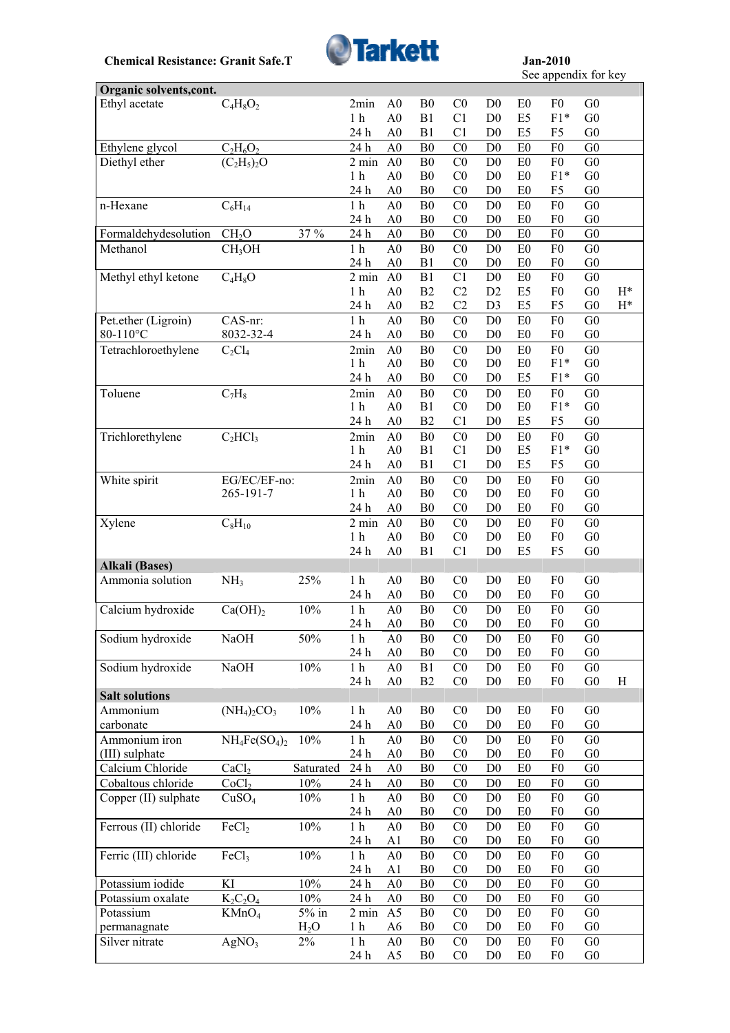

See appendix for key

| Organic solvents, cont. |                      |           |                             |                |                                  |                                  |                                  |                                  |                |                                  |           |
|-------------------------|----------------------|-----------|-----------------------------|----------------|----------------------------------|----------------------------------|----------------------------------|----------------------------------|----------------|----------------------------------|-----------|
| Ethyl acetate           | $C_4H_8O_2$          |           | 2min                        | A <sub>0</sub> | B <sub>0</sub>                   | CO                               | D <sub>0</sub>                   | E <sub>0</sub>                   | F0             | G <sub>0</sub>                   |           |
|                         |                      |           | 1 <sub>h</sub>              | A <sub>0</sub> | B1                               | C <sub>1</sub>                   | D <sub>0</sub>                   | E <sub>5</sub>                   | $F1*$          | G <sub>0</sub>                   |           |
|                         |                      |           | 24 h                        | A <sub>0</sub> | B1                               | C <sub>1</sub>                   | D <sub>0</sub>                   | E <sub>5</sub>                   | F5             | G <sub>0</sub>                   |           |
| Ethylene glycol         | $C_2H_6O_2$          |           | 24 h                        | A <sub>0</sub> | B <sub>0</sub>                   | C <sub>0</sub>                   | D <sub>0</sub>                   | E0                               | ${\rm F0}$     | G <sub>0</sub>                   |           |
| Diethyl ether           | $(C_2H_5)_2O$        |           | 2 min                       | A <sub>0</sub> | B <sub>0</sub>                   | C <sub>0</sub>                   | D <sub>0</sub>                   | E <sub>0</sub>                   | F <sub>0</sub> | G <sub>0</sub>                   |           |
|                         |                      |           | 1 <sub>h</sub>              | A <sub>0</sub> | B <sub>0</sub>                   | C <sub>0</sub>                   | D <sub>0</sub>                   | E <sub>0</sub>                   | $F1*$          | G <sub>0</sub>                   |           |
|                         |                      |           | 24 h                        | A <sub>0</sub> | B <sub>0</sub>                   | C <sub>0</sub>                   | D <sub>0</sub>                   | E <sub>0</sub>                   | F <sub>5</sub> | G <sub>0</sub>                   |           |
| n-Hexane                | $C_6H_{14}$          |           | $1\ \mathrm{h}$             | A <sub>0</sub> | B <sub>0</sub>                   | CO                               | D <sub>0</sub>                   | E0                               | ${\rm F0}$     | G <sub>0</sub>                   |           |
|                         |                      |           | 24 h                        | A <sub>0</sub> | B <sub>0</sub>                   | C <sub>0</sub>                   | D <sub>0</sub>                   | E0                               | F <sub>0</sub> | G <sub>0</sub>                   |           |
| Formaldehydesolution    | CH <sub>2</sub> O    | 37 %      | 24 h                        | A <sub>0</sub> | B <sub>0</sub>                   | C <sub>0</sub>                   | D <sub>0</sub>                   | E0                               | F <sub>0</sub> | ${\rm G0}$                       |           |
| Methanol                | CH <sub>3</sub> OH   |           | 1 <sub>h</sub>              | A <sub>0</sub> | B <sub>0</sub>                   | CO                               | D <sub>0</sub>                   | E0                               | F <sub>0</sub> | G <sub>0</sub>                   |           |
|                         |                      |           | 24 h                        | A <sub>0</sub> | B1                               | C <sub>0</sub>                   | D <sub>0</sub>                   | E0                               | F <sub>0</sub> | G <sub>0</sub>                   |           |
| Methyl ethyl ketone     | $\overline{C}_4H_8O$ |           | 2 min                       | A <sub>0</sub> | B1                               | C1                               | D <sub>0</sub>                   | E0                               | ${\rm F0}$     | G <sub>0</sub>                   |           |
|                         |                      |           | 1 <sub>h</sub>              | A <sub>0</sub> | B2                               | C2                               | D2                               | E <sub>5</sub>                   | F <sub>0</sub> | ${\rm G0}$                       | $H^*$     |
|                         |                      |           | 24 h                        | A <sub>0</sub> | B2                               | C <sub>2</sub>                   | D <sub>3</sub>                   | E5                               | F <sub>5</sub> | ${\rm G0}$                       | $\rm H^*$ |
| Pet.ether (Ligroin)     | CAS-nr:              |           | $1\ \mathrm{h}$             | A <sub>0</sub> | B <sub>0</sub>                   | CO                               | D <sub>0</sub>                   | E0                               | F <sub>0</sub> | G <sub>0</sub>                   |           |
| 80-110°C                | 8032-32-4            |           | 24 h                        | A <sub>0</sub> | B <sub>0</sub>                   | C <sub>0</sub>                   | D <sub>0</sub>                   | E <sub>0</sub>                   | F <sub>0</sub> | G <sub>0</sub>                   |           |
| Tetrachloroethylene     | $C_2Cl_4$            |           | 2min                        | A <sub>0</sub> | B <sub>0</sub>                   | CO                               | D <sub>0</sub>                   | E0                               | F <sub>0</sub> | G <sub>0</sub>                   |           |
|                         |                      |           | 1 <sub>h</sub>              | A <sub>0</sub> | B <sub>0</sub>                   | C <sub>0</sub>                   | D <sub>0</sub>                   | E0                               | $F1*$          | G <sub>0</sub>                   |           |
|                         |                      |           | 24 h                        | A <sub>0</sub> | B <sub>0</sub>                   | CO                               | D <sub>0</sub>                   | E <sub>5</sub>                   | $F1*$          | G <sub>0</sub>                   |           |
| Toluene                 | $C_7H_8$             |           | 2min                        | A <sub>0</sub> | B <sub>0</sub>                   | CO                               | D <sub>0</sub>                   | E <sub>0</sub>                   | F <sub>0</sub> | G <sub>0</sub>                   |           |
|                         |                      |           | 1 <sub>h</sub>              | A <sub>0</sub> | B1                               | C <sub>0</sub>                   | D <sub>0</sub>                   | E0                               | $F1*$          | G <sub>0</sub>                   |           |
|                         |                      |           | 24 h                        | A <sub>0</sub> | B2                               | C <sub>1</sub>                   | D <sub>0</sub>                   | E <sub>5</sub>                   | F <sub>5</sub> | G <sub>0</sub>                   |           |
| Trichlorethylene        | $C_2 HCl_3$          |           | 2min                        | A <sub>0</sub> | B <sub>0</sub>                   | CO                               | D <sub>0</sub>                   | E <sub>0</sub>                   | F <sub>0</sub> | G <sub>0</sub>                   |           |
|                         |                      |           | 1 <sub>h</sub>              | A <sub>0</sub> | B1                               | C <sub>1</sub>                   | D <sub>0</sub>                   | E5                               | $F1*$          | G <sub>0</sub>                   |           |
|                         |                      |           | 24 h                        | A <sub>0</sub> | B1                               | C <sub>1</sub>                   | D <sub>0</sub>                   | E <sub>5</sub>                   | F <sub>5</sub> | G <sub>0</sub>                   |           |
| White spirit            | EG/EC/EF-no:         |           | 2min                        | A <sub>0</sub> | B <sub>0</sub>                   | CO                               | D <sub>0</sub>                   | E0                               | F <sub>0</sub> | G <sub>0</sub>                   |           |
|                         | 265-191-7            |           | 1 <sub>h</sub>              | A <sub>0</sub> | B <sub>0</sub>                   | C <sub>0</sub>                   | D <sub>0</sub>                   | E <sub>0</sub>                   | F <sub>0</sub> | G <sub>0</sub>                   |           |
|                         |                      |           | 24 h                        | A <sub>0</sub> | B <sub>0</sub>                   | C <sub>0</sub>                   | D <sub>0</sub>                   | E <sub>0</sub>                   | F <sub>0</sub> | G <sub>0</sub>                   |           |
| Xylene                  | $C_8H_{10}$          |           | $2 \text{ min}$             | A <sub>0</sub> | B <sub>0</sub>                   | CO                               | D <sub>0</sub>                   | E <sub>0</sub>                   | F <sub>0</sub> | G <sub>0</sub>                   |           |
|                         |                      |           | 1 <sub>h</sub>              | A <sub>0</sub> | B <sub>0</sub>                   | CO                               | D <sub>0</sub>                   | E <sub>0</sub>                   | F <sub>0</sub> | G <sub>0</sub>                   |           |
|                         |                      |           | 24 h                        | A <sub>0</sub> | B1                               | C1                               | D <sub>0</sub>                   | E5                               | F <sub>5</sub> | G <sub>0</sub>                   |           |
| <b>Alkali</b> (Bases)   |                      |           |                             |                |                                  |                                  |                                  |                                  |                |                                  |           |
| Ammonia solution        | NH <sub>3</sub>      | 25%       | 1 <sub>h</sub>              | A <sub>0</sub> | B <sub>0</sub>                   | C <sub>0</sub>                   | D <sub>0</sub>                   | E0                               | F <sub>0</sub> | G <sub>0</sub>                   |           |
|                         |                      |           | 24 h                        | A <sub>0</sub> | B <sub>0</sub>                   | C <sub>0</sub>                   | D <sub>0</sub>                   | E <sub>0</sub>                   | F <sub>0</sub> | G <sub>0</sub>                   |           |
| Calcium hydroxide       | Ca(OH) <sub>2</sub>  | 10%       | 1 <sub>h</sub>              | A <sub>0</sub> | B <sub>0</sub>                   | C <sub>0</sub>                   | D <sub>0</sub>                   | E <sub>0</sub>                   | F <sub>0</sub> | G <sub>0</sub>                   |           |
|                         |                      |           | 24 h                        | A <sub>0</sub> | B <sub>0</sub>                   | C <sub>0</sub>                   | D <sub>0</sub>                   | E0                               | F <sub>0</sub> | G <sub>0</sub>                   |           |
| Sodium hydroxide        | NaOH                 | 50%       | 1 h                         | A0             | <sub>B0</sub>                    | $_{\rm CO}$                      | D <sub>0</sub>                   | E <sub>0</sub>                   | F <sub>0</sub> | G <sub>0</sub>                   |           |
|                         |                      |           | 24 h                        | A <sub>0</sub> | B <sub>0</sub>                   | C <sub>0</sub>                   | D <sub>0</sub>                   | E <sub>0</sub>                   | F0             | G <sub>0</sub>                   |           |
| Sodium hydroxide        | <b>NaOH</b>          | 10%       | 1 <sub>h</sub>              | A <sub>0</sub> | B1                               | CO                               | D <sub>0</sub>                   | E0                               | F <sub>0</sub> | G <sub>0</sub>                   |           |
|                         |                      |           | 24 h                        | A <sub>0</sub> | B2                               | C <sub>0</sub>                   | D <sub>0</sub>                   | E0                               | F <sub>0</sub> | ${\rm G0}$                       | H         |
| <b>Salt solutions</b>   |                      |           |                             |                |                                  |                                  |                                  |                                  |                |                                  |           |
| Ammonium                | $(NH_4)_2CO_3$       | $10\%$    | 1 <sub>h</sub>              | A <sub>0</sub> | ${\bf B0}$                       | C <sub>0</sub>                   | D <sub>0</sub>                   | E <sub>0</sub>                   | F <sub>0</sub> | G <sub>0</sub>                   |           |
| carbonate               |                      |           | 24 h                        | A <sub>0</sub> | B <sub>0</sub>                   | CO                               | D <sub>0</sub>                   | E0                               | F <sub>0</sub> | G <sub>0</sub>                   |           |
| Ammonium iron           | $NH_4Fe(SO_4)_2$     | 10%       | 1 <sub>h</sub>              | A <sub>0</sub> | B <sub>0</sub>                   | C <sub>0</sub>                   | D <sub>0</sub>                   | E <sub>0</sub>                   | F <sub>0</sub> | G <sub>0</sub>                   |           |
| (III) sulphate          |                      |           | 24 h                        | A <sub>0</sub> | B <sub>0</sub>                   | C <sub>0</sub>                   | D <sub>0</sub>                   | E <sub>0</sub>                   | F <sub>0</sub> | G <sub>0</sub>                   |           |
| Calcium Chloride        | CaCl <sub>2</sub>    | Saturated | 24 h                        | A <sub>0</sub> | B <sub>0</sub>                   | C <sub>0</sub>                   | D <sub>0</sub>                   | E <sub>0</sub>                   | ${\rm F0}$     | G <sub>0</sub>                   |           |
| Cobaltous chloride      | CoCl <sub>2</sub>    | 10%       | 24 h                        | A <sub>0</sub> | B <sub>0</sub>                   | C <sub>0</sub>                   | D <sub>0</sub>                   | E <sub>0</sub>                   | F <sub>0</sub> | G <sub>0</sub>                   |           |
| Copper (II) sulphate    | CuSO <sub>4</sub>    | 10%       | 1 <sub>h</sub>              | A <sub>0</sub> | B <sub>0</sub>                   | C <sub>0</sub>                   | D <sub>0</sub>                   | E <sub>0</sub>                   | F <sub>0</sub> | G <sub>0</sub>                   |           |
|                         |                      |           | 24 h                        | A <sub>0</sub> | B <sub>0</sub>                   | C <sub>0</sub>                   | D <sub>0</sub>                   | E <sub>0</sub>                   | F <sub>0</sub> | G <sub>0</sub>                   |           |
| Ferrous (II) chloride   | FeCl <sub>2</sub>    | $10\%$    | 1 <sub>h</sub>              | A <sub>0</sub> | B <sub>0</sub>                   | C <sub>0</sub>                   | D <sub>0</sub>                   | E <sub>0</sub>                   | F <sub>0</sub> | G <sub>0</sub>                   |           |
|                         |                      |           | 24 h                        | A <sub>1</sub> | B <sub>0</sub>                   | C <sub>0</sub>                   | D <sub>0</sub>                   | E <sub>0</sub>                   | F <sub>0</sub> | G <sub>0</sub>                   |           |
| Ferric (III) chloride   | FeCl <sub>3</sub>    | $10\%$    | 1 <sub>h</sub>              | A <sub>0</sub> | B <sub>0</sub>                   | C <sub>0</sub>                   |                                  |                                  | F <sub>0</sub> | G <sub>0</sub>                   |           |
|                         |                      |           | 24 h                        | A <sub>1</sub> | B <sub>0</sub>                   | C <sub>0</sub>                   | D <sub>0</sub><br>D <sub>0</sub> | E <sub>0</sub><br>E <sub>0</sub> | F <sub>0</sub> | G <sub>0</sub>                   |           |
| Potassium iodide        | KI                   | 10%       | $24\,\ensuremath{\hbox{h}}$ | A <sub>0</sub> | B <sub>0</sub>                   | C <sub>0</sub>                   | D <sub>0</sub>                   | E0                               | F <sub>0</sub> | ${\rm G0}$                       |           |
|                         |                      | 10%       |                             |                | B <sub>0</sub>                   |                                  |                                  |                                  | F <sub>0</sub> |                                  |           |
| Potassium oxalate       | $K_2C_2O_4$          |           | 24 h                        | A <sub>0</sub> |                                  | C <sub>0</sub>                   | D <sub>0</sub>                   | E <sub>0</sub>                   | F <sub>0</sub> | G <sub>0</sub><br>G <sub>0</sub> |           |
| Potassium               | KMnO <sub>4</sub>    | $5\%$ in  | $2 \text{ min}$             | A <sub>5</sub> | B <sub>0</sub><br>B <sub>0</sub> | C <sub>0</sub><br>C <sub>0</sub> | D <sub>0</sub><br>D <sub>0</sub> | E <sub>0</sub><br>E <sub>0</sub> | F <sub>0</sub> | G <sub>0</sub>                   |           |
| permanagnate            |                      | $H_2O$    | 1 <sub>h</sub>              | A6             |                                  |                                  |                                  |                                  |                |                                  |           |
| Silver nitrate          | AgNO <sub>3</sub>    | $2\%$     | 1 <sub>h</sub>              | A <sub>0</sub> | B <sub>0</sub>                   | C <sub>0</sub>                   | D <sub>0</sub>                   | E <sub>0</sub>                   | F0             | G <sub>0</sub>                   |           |
|                         |                      |           | 24 h                        | A <sub>5</sub> | B <sub>0</sub>                   | C <sub>0</sub>                   | D <sub>0</sub>                   | E <sub>0</sub>                   | F0             | G <sub>0</sub>                   |           |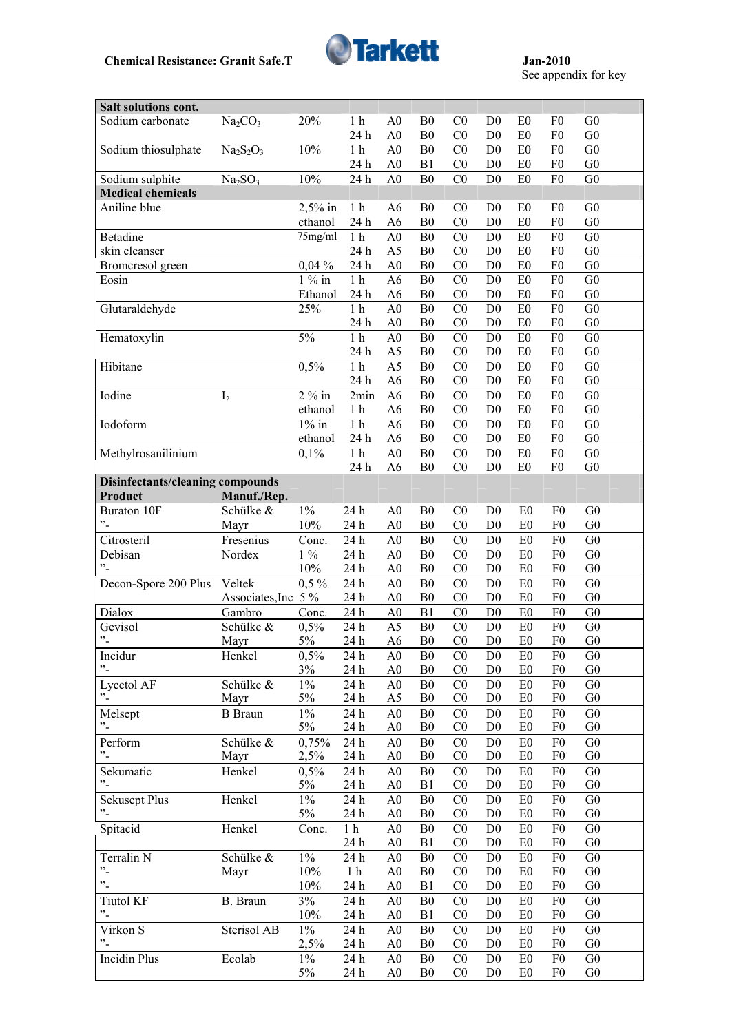

See appendix for key

| Salt solutions cont.             |                                 |             |                  |                                  |                                  |                                  |                                  |                                  |                                  |                                  |  |
|----------------------------------|---------------------------------|-------------|------------------|----------------------------------|----------------------------------|----------------------------------|----------------------------------|----------------------------------|----------------------------------|----------------------------------|--|
| Sodium carbonate                 | Na <sub>2</sub> CO <sub>3</sub> | 20%         | 1 <sub>h</sub>   | A <sub>0</sub>                   | B <sub>0</sub>                   | C <sub>0</sub>                   | D <sub>0</sub>                   | E <sub>0</sub>                   | F <sub>0</sub>                   | G <sub>0</sub>                   |  |
|                                  |                                 |             | 24 h             | A <sub>0</sub>                   | B <sub>0</sub>                   | C <sub>0</sub>                   | D <sub>0</sub>                   | E <sub>0</sub>                   | F <sub>0</sub>                   | G <sub>0</sub>                   |  |
| Sodium thiosulphate              | $Na2S2O3$                       | 10%         | 1 <sub>h</sub>   | A <sub>0</sub>                   | B <sub>0</sub>                   | C <sub>0</sub>                   | D <sub>0</sub>                   | E <sub>0</sub>                   | F <sub>0</sub>                   | G <sub>0</sub>                   |  |
|                                  |                                 |             | 24 h             | A <sub>0</sub>                   | B1                               | C <sub>0</sub>                   | D <sub>0</sub>                   | E <sub>0</sub>                   | F <sub>0</sub>                   | G <sub>0</sub>                   |  |
| Sodium sulphite                  | Na <sub>2</sub> SO <sub>3</sub> | 10%         | 24 h             | A <sub>0</sub>                   | B <sub>0</sub>                   | C <sub>0</sub>                   | D <sub>0</sub>                   | E0                               | F <sub>0</sub>                   | G <sub>0</sub>                   |  |
| <b>Medical chemicals</b>         |                                 |             |                  |                                  |                                  |                                  |                                  |                                  |                                  |                                  |  |
| Aniline blue                     |                                 | $2,5%$ in   | 1 <sub>h</sub>   | A6                               | B <sub>0</sub>                   | C <sub>0</sub>                   | D <sub>0</sub>                   | E <sub>0</sub>                   | F <sub>0</sub>                   | G <sub>0</sub>                   |  |
|                                  |                                 | ethanol     | 24 h             | A <sub>6</sub>                   | B <sub>0</sub>                   | CO                               | D <sub>0</sub>                   | E <sub>0</sub>                   | F <sub>0</sub>                   | G <sub>0</sub>                   |  |
| Betadine                         |                                 | 75mg/ml     | 1 <sub>h</sub>   | A <sub>0</sub>                   | B <sub>0</sub>                   | C <sub>0</sub>                   | D <sub>0</sub>                   | E <sub>0</sub>                   | F <sub>0</sub>                   | G <sub>0</sub>                   |  |
| skin cleanser                    |                                 |             | 24 h             | A <sub>5</sub>                   | B <sub>0</sub>                   | C <sub>0</sub>                   | D <sub>0</sub>                   | E <sub>0</sub>                   | F <sub>0</sub>                   | G <sub>0</sub>                   |  |
| Bromcresol green                 |                                 | $0,04\%$    | 24 h             | A <sub>0</sub>                   | B <sub>0</sub>                   | CO                               | D <sub>0</sub>                   | E0                               | F <sub>0</sub>                   | G <sub>0</sub>                   |  |
| Eosin                            |                                 | $1\%$ in    | 1 <sub>h</sub>   | A <sub>6</sub>                   | B <sub>0</sub>                   | CO                               | D <sub>0</sub>                   | E <sub>0</sub>                   | F <sub>0</sub>                   | G <sub>0</sub>                   |  |
|                                  |                                 | Ethanol     | 24 h             | A <sub>6</sub>                   | B <sub>0</sub>                   | C <sub>0</sub>                   | D <sub>0</sub>                   | E0                               | F <sub>0</sub>                   | G <sub>0</sub>                   |  |
| Glutaraldehyde                   |                                 | 25%         | 1 <sub>h</sub>   | A <sub>0</sub>                   | B <sub>0</sub>                   | C <sub>0</sub>                   | D <sub>0</sub>                   | E <sub>0</sub>                   | F <sub>0</sub>                   | G <sub>0</sub>                   |  |
|                                  |                                 |             | 24 h             | A <sub>0</sub>                   | B <sub>0</sub>                   | C <sub>0</sub>                   | D <sub>0</sub>                   | E0                               | F <sub>0</sub>                   | G <sub>0</sub>                   |  |
| Hematoxylin                      |                                 | 5%          | $1\ \mathrm{h}$  | A <sub>0</sub>                   | B <sub>0</sub>                   | C <sub>0</sub>                   | D <sub>0</sub>                   | E <sub>0</sub>                   | F <sub>0</sub>                   | G <sub>0</sub>                   |  |
|                                  |                                 |             | 24 h             | A5                               | B <sub>0</sub>                   | C <sub>0</sub>                   | D <sub>0</sub>                   | E0                               | F <sub>0</sub>                   | G <sub>0</sub>                   |  |
| Hibitane                         |                                 | 0,5%        | $1\ \mathrm{h}$  | A <sub>5</sub>                   | ${\bf B0}$                       | $\overline{C}0$                  | D <sub>0</sub>                   | E0                               | F <sub>0</sub>                   | G <sub>0</sub>                   |  |
|                                  |                                 |             |                  |                                  |                                  |                                  |                                  |                                  | F <sub>0</sub>                   |                                  |  |
|                                  |                                 |             | 24 h             | A <sub>6</sub>                   | B <sub>0</sub>                   | C <sub>0</sub>                   | D <sub>0</sub>                   | E0                               |                                  | G <sub>0</sub>                   |  |
| Iodine                           | I <sub>2</sub>                  | $2\%$ in    | 2min             | A <sub>6</sub>                   | B <sub>0</sub>                   | CO                               | D <sub>0</sub>                   | E0                               | F <sub>0</sub>                   | G <sub>0</sub>                   |  |
|                                  |                                 | ethanol     | 1 <sub>h</sub>   | A <sub>6</sub>                   | B <sub>0</sub>                   | CO                               | D <sub>0</sub>                   | E <sub>0</sub>                   | F <sub>0</sub>                   | G <sub>0</sub>                   |  |
| Iodoform                         |                                 | $1\%$ in    | 1 <sub>h</sub>   | A <sub>6</sub>                   | B <sub>0</sub>                   | C <sub>0</sub>                   | D <sub>0</sub>                   | E <sub>0</sub>                   | F <sub>0</sub>                   | G <sub>0</sub>                   |  |
|                                  |                                 | ethanol     | 24 h             | A <sub>6</sub>                   | B <sub>0</sub>                   | C <sub>0</sub>                   | D <sub>0</sub>                   | E <sub>0</sub>                   | F <sub>0</sub>                   | G <sub>0</sub>                   |  |
| Methylrosanilinium               |                                 | 0,1%        | $1h$             | A <sub>0</sub>                   | B <sub>0</sub>                   | C <sub>0</sub>                   | D <sub>0</sub>                   | E <sub>0</sub>                   | F <sub>0</sub>                   | G <sub>0</sub>                   |  |
|                                  |                                 |             | 24 h             | A <sub>6</sub>                   | B <sub>0</sub>                   | C <sub>0</sub>                   | D <sub>0</sub>                   | E <sub>0</sub>                   | F <sub>0</sub>                   | G <sub>0</sub>                   |  |
| Disinfectants/cleaning compounds |                                 |             |                  |                                  |                                  |                                  |                                  |                                  |                                  |                                  |  |
| Product                          | Manuf./Rep.                     |             |                  |                                  |                                  |                                  |                                  |                                  |                                  |                                  |  |
| Buraton 10F                      | Schülke &                       | $1\%$       | 24 h             | A <sub>0</sub>                   | B <sub>0</sub>                   | CO                               | D <sub>0</sub>                   | E <sub>0</sub>                   | F <sub>0</sub>                   | G <sub>0</sub>                   |  |
| $"$ -                            | Mayr                            | 10%         | 24 h             | A <sub>0</sub>                   | B <sub>0</sub>                   | CO                               | D <sub>0</sub>                   | E <sub>0</sub>                   | F <sub>0</sub>                   | G <sub>0</sub>                   |  |
| Citrosteril                      | Fresenius                       | Conc.       | 24 h             | A <sub>0</sub>                   | B <sub>0</sub>                   | C <sub>0</sub>                   | D <sub>0</sub>                   | E0                               | F <sub>0</sub>                   | G <sub>0</sub>                   |  |
| Debisan                          |                                 |             |                  |                                  |                                  |                                  |                                  |                                  |                                  |                                  |  |
|                                  | Nordex                          | $1\%$       | 24 h             | A <sub>0</sub>                   | B <sub>0</sub>                   | CO                               | D <sub>0</sub>                   | E <sub>0</sub>                   | F <sub>0</sub>                   | G <sub>0</sub>                   |  |
| $\cdot$ <sup>2</sup>             |                                 | 10%         | 24 h             | A <sub>0</sub>                   | B <sub>0</sub>                   | CO                               | D <sub>0</sub>                   | E <sub>0</sub>                   | F <sub>0</sub>                   | G <sub>0</sub>                   |  |
| Decon-Spore 200 Plus             | Veltek                          | $0,5\%$     | 24 h             | A <sub>0</sub>                   | B <sub>0</sub>                   | C <sub>0</sub>                   | D <sub>0</sub>                   | E <sub>0</sub>                   | F <sub>0</sub>                   | G <sub>0</sub>                   |  |
|                                  | Associates, Inc 5 %             |             | 24 h             | A <sub>0</sub>                   | B <sub>0</sub>                   | CO                               | D <sub>0</sub>                   | E <sub>0</sub>                   | F <sub>0</sub>                   | G <sub>0</sub>                   |  |
| Dialox                           | Gambro                          | Conc.       | 24 h             | A <sub>0</sub>                   | B1                               | CO                               | D <sub>0</sub>                   | E <sub>0</sub>                   | F <sub>0</sub>                   | G <sub>0</sub>                   |  |
| Gevisol                          | Schülke &                       | 0,5%        | 24 h             | A <sub>5</sub>                   | B <sub>0</sub>                   | C <sub>0</sub>                   | D <sub>0</sub>                   | E <sub>0</sub>                   | F <sub>0</sub>                   | G <sub>0</sub>                   |  |
| $"$ -                            | Mayr                            | 5%          | 24 h             | A <sub>6</sub>                   | B <sub>0</sub>                   | CO                               | D <sub>0</sub>                   | E <sub>0</sub>                   | F <sub>0</sub>                   | G <sub>0</sub>                   |  |
| Incidur                          |                                 |             | 24 h             | A <sub>0</sub>                   | B <sub>0</sub>                   | C <sub>0</sub>                   | D <sub>0</sub>                   | E <sub>0</sub>                   | F <sub>0</sub>                   | G <sub>0</sub>                   |  |
| $"$ -                            | Henkel                          | 0,5%<br>3%  | 24 h             | A <sub>0</sub>                   | B <sub>0</sub>                   | C <sub>0</sub>                   | D <sub>0</sub>                   | E <sub>0</sub>                   | F <sub>0</sub>                   | G <sub>0</sub>                   |  |
|                                  |                                 |             |                  |                                  |                                  | C <sub>0</sub>                   | D <sub>0</sub>                   | E <sub>0</sub>                   | F <sub>0</sub>                   | G <sub>0</sub>                   |  |
| Lycetol AF<br>$\cdot$            | Schülke &<br>Mayr               | $1\%$<br>5% | 24 h             | A <sub>0</sub>                   | B <sub>0</sub><br>B <sub>0</sub> | C <sub>0</sub>                   | D <sub>0</sub>                   | E0                               | F <sub>0</sub>                   | G <sub>0</sub>                   |  |
|                                  |                                 |             | 24 h             | A <sub>5</sub>                   |                                  |                                  |                                  |                                  |                                  |                                  |  |
| Melsept<br>$^{\circ}$ -          | <b>B</b> Braun                  | $1\%$       | 24 h             | A <sub>0</sub>                   | B <sub>0</sub>                   | C <sub>0</sub>                   | D <sub>0</sub>                   | E <sub>0</sub>                   | F <sub>0</sub>                   | G <sub>0</sub>                   |  |
|                                  |                                 | $5\%$       | 24 h             | A <sub>0</sub>                   | B <sub>0</sub>                   | C <sub>0</sub>                   | D <sub>0</sub>                   | E0                               | F <sub>0</sub>                   | G <sub>0</sub>                   |  |
| Perform                          | Schülke &                       | 0,75%       | $24\ \mathrm{h}$ | A <sub>0</sub>                   | B <sub>0</sub>                   | C <sub>0</sub>                   | D <sub>0</sub>                   | E <sub>0</sub>                   | ${\rm F0}$                       | G <sub>0</sub>                   |  |
| $^{\prime\prime}$ -              | Mayr                            | 2,5%        | 24 h             | A <sub>0</sub>                   | B <sub>0</sub>                   | C <sub>0</sub>                   | D <sub>0</sub>                   | E <sub>0</sub>                   | F <sub>0</sub>                   | G <sub>0</sub>                   |  |
| Sekumatic                        | Henkel                          | 0,5%        | 24 h             | A <sub>0</sub>                   | B <sub>0</sub>                   | C <sub>0</sub>                   | D <sub>0</sub>                   | E <sub>0</sub>                   | F <sub>0</sub>                   | G <sub>0</sub>                   |  |
| $\cdot$                          |                                 | 5%          | 24 h             | A <sub>0</sub>                   | B1                               | C <sub>0</sub>                   | D <sub>0</sub>                   | E <sub>0</sub>                   | F <sub>0</sub>                   | G <sub>0</sub>                   |  |
| <b>Sekusept Plus</b>             | Henkel                          | $1\%$       | 24 h             | A <sub>0</sub>                   | B <sub>0</sub>                   | C <sub>0</sub>                   | D <sub>0</sub>                   | E <sub>0</sub>                   | F <sub>0</sub>                   | G <sub>0</sub>                   |  |
| $^{\prime\prime}$ -              |                                 | 5%          | 24 h             | A <sub>0</sub>                   | B <sub>0</sub>                   | C <sub>0</sub>                   | D <sub>0</sub>                   | E <sub>0</sub>                   | F <sub>0</sub>                   | G <sub>0</sub>                   |  |
| Spitacid                         | Henkel                          | Conc.       | 1 <sub>h</sub>   | A <sub>0</sub>                   | B <sub>0</sub>                   | C <sub>0</sub>                   | D <sub>0</sub>                   | E <sub>0</sub>                   | ${\rm F0}$                       | G <sub>0</sub>                   |  |
|                                  |                                 |             | 24 h             | A <sub>0</sub>                   | B1                               | C <sub>0</sub>                   | D <sub>0</sub>                   | E <sub>0</sub>                   | F <sub>0</sub>                   | G <sub>0</sub>                   |  |
| Terralin N                       | Schülke &                       | $1\%$       | 24 h             | A <sub>0</sub>                   | B <sub>0</sub>                   | C <sub>0</sub>                   | D <sub>0</sub>                   | E <sub>0</sub>                   | F <sub>0</sub>                   | G <sub>0</sub>                   |  |
| $"$ -                            | Mayr                            | 10%         | 1 <sub>h</sub>   | A <sub>0</sub>                   | B <sub>0</sub>                   | C <sub>0</sub>                   | D <sub>0</sub>                   | E <sub>0</sub>                   | F <sub>0</sub>                   | ${\rm G0}$                       |  |
| $\ddot{\phantom{1}}$             |                                 | 10%         | 24 h             | A <sub>0</sub>                   | B1                               | C <sub>0</sub>                   | D <sub>0</sub>                   | E <sub>0</sub>                   | F <sub>0</sub>                   | G <sub>0</sub>                   |  |
| <b>Tiutol KF</b>                 | B. Braun                        | 3%          | 24 h             | A <sub>0</sub>                   | B <sub>0</sub>                   | C <sub>0</sub>                   | D <sub>0</sub>                   | E <sub>0</sub>                   | F <sub>0</sub>                   | G <sub>0</sub>                   |  |
| $\cdot$                          |                                 | 10%         | 24 h             | A <sub>0</sub>                   | B1                               | C <sub>0</sub>                   | D <sub>0</sub>                   | E <sub>0</sub>                   | F <sub>0</sub>                   | G <sub>0</sub>                   |  |
| Virkon S                         | Sterisol AB                     | $1\%$       | 24 h             | A <sub>0</sub>                   | B <sub>0</sub>                   | C <sub>0</sub>                   | D <sub>0</sub>                   | E <sub>0</sub>                   | F <sub>0</sub>                   | G <sub>0</sub>                   |  |
| $\cdot$ <sup>2</sup>             |                                 | 2,5%        | 24 h             | A <sub>0</sub>                   | B <sub>0</sub>                   | C <sub>0</sub>                   | D <sub>0</sub>                   | E <sub>0</sub>                   | F <sub>0</sub>                   | G <sub>0</sub>                   |  |
| <b>Incidin Plus</b>              | Ecolab                          | $1\%$<br>5% | 24 h<br>24 h     | A <sub>0</sub><br>A <sub>0</sub> | B <sub>0</sub><br>B <sub>0</sub> | C <sub>0</sub><br>C <sub>0</sub> | D <sub>0</sub><br>D <sub>0</sub> | E <sub>0</sub><br>E <sub>0</sub> | F <sub>0</sub><br>F <sub>0</sub> | G <sub>0</sub><br>G <sub>0</sub> |  |